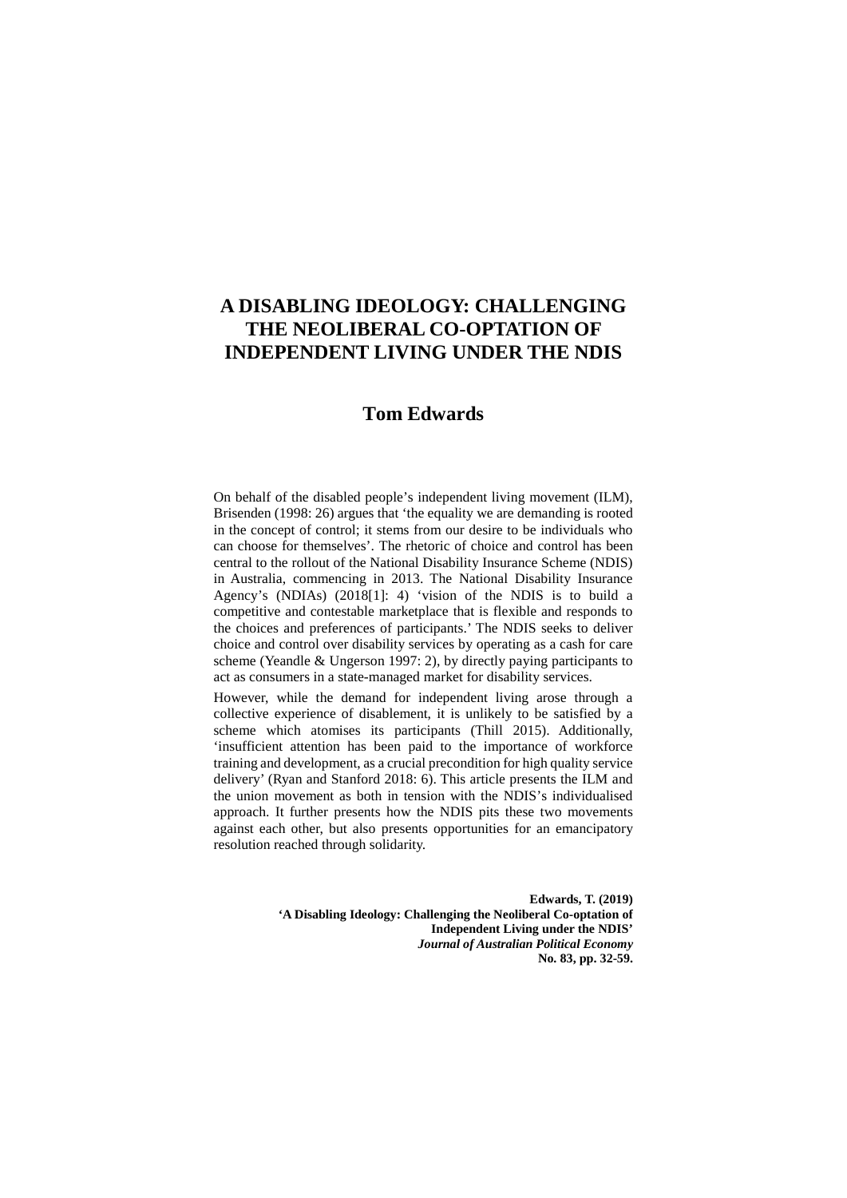# **A DISABLING IDEOLOGY: CHALLENGING THE NEOLIBERAL CO-OPTATION OF INDEPENDENT LIVING UNDER THE NDIS**

## **Tom Edwards**

On behalf of the disabled people's independent living movement (ILM), Brisenden (1998: 26) argues that 'the equality we are demanding is rooted in the concept of control; it stems from our desire to be individuals who can choose for themselves'. The rhetoric of choice and control has been central to the rollout of the National Disability Insurance Scheme (NDIS) in Australia, commencing in 2013. The National Disability Insurance Agency's (NDIAs) (2018[1]: 4) 'vision of the NDIS is to build a competitive and contestable marketplace that is flexible and responds to the choices and preferences of participants.' The NDIS seeks to deliver choice and control over disability services by operating as a cash for care scheme (Yeandle & Ungerson 1997: 2), by directly paying participants to act as consumers in a state-managed market for disability services.

However, while the demand for independent living arose through a collective experience of disablement, it is unlikely to be satisfied by a scheme which atomises its participants (Thill 2015). Additionally, 'insufficient attention has been paid to the importance of workforce training and development, as a crucial precondition for high quality service delivery' (Ryan and Stanford 2018: 6). This article presents the ILM and the union movement as both in tension with the NDIS's individualised approach. It further presents how the NDIS pits these two movements against each other, but also presents opportunities for an emancipatory resolution reached through solidarity.

> **Edwards, T. (2019) 'A Disabling Ideology: Challenging the Neoliberal Co-optation of Independent Living under the NDIS'**  *Journal of Australian Political Economy* **No. 83, pp. 32-59.**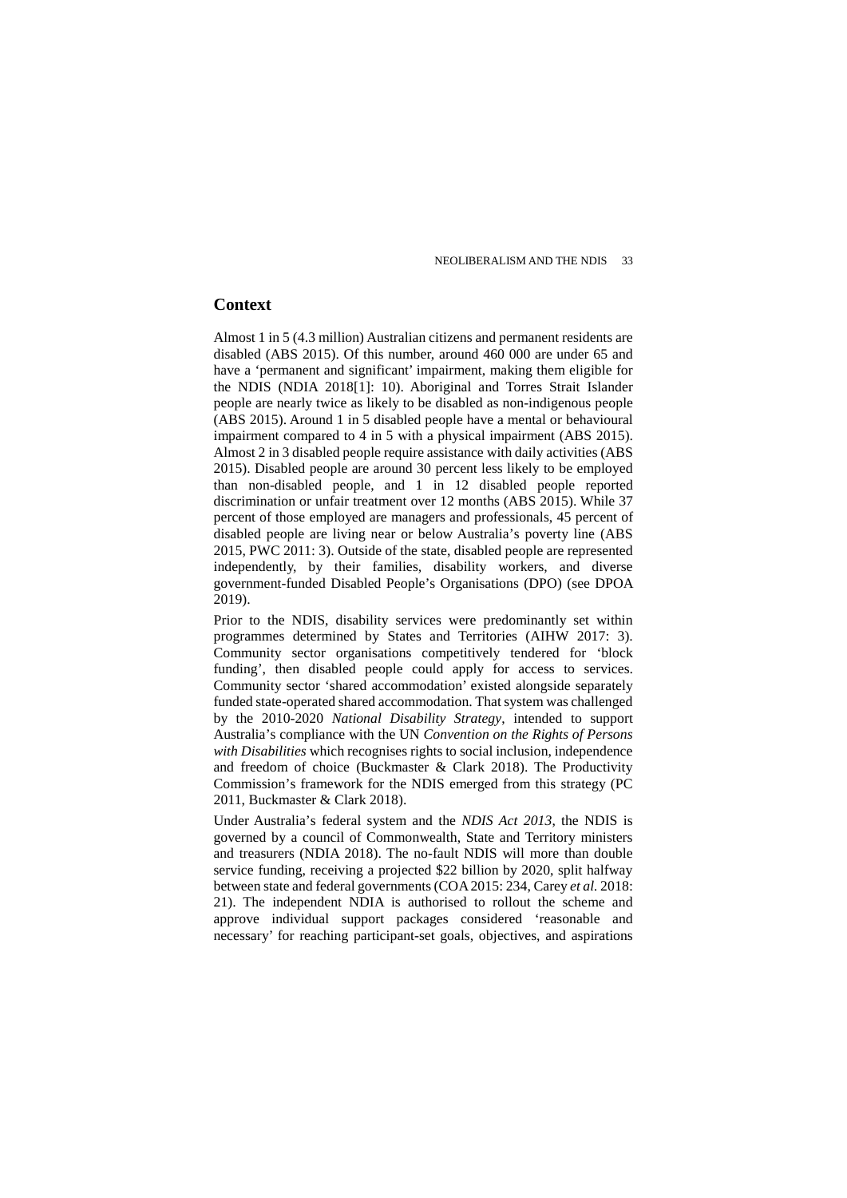## **Context**

Almost 1 in 5 (4.3 million) Australian citizens and permanent residents are disabled (ABS 2015). Of this number, around 460 000 are under 65 and have a 'permanent and significant' impairment, making them eligible for the NDIS (NDIA 2018[1]: 10). Aboriginal and Torres Strait Islander people are nearly twice as likely to be disabled as non-indigenous people (ABS 2015). Around 1 in 5 disabled people have a mental or behavioural impairment compared to 4 in 5 with a physical impairment (ABS 2015). Almost 2 in 3 disabled people require assistance with daily activities (ABS 2015). Disabled people are around 30 percent less likely to be employed than non-disabled people, and 1 in 12 disabled people reported discrimination or unfair treatment over 12 months (ABS 2015). While 37 percent of those employed are managers and professionals, 45 percent of disabled people are living near or below Australia's poverty line (ABS 2015, PWC 2011: 3). Outside of the state, disabled people are represented independently, by their families, disability workers, and diverse government-funded Disabled People's Organisations (DPO) (see DPOA 2019).

Prior to the NDIS, disability services were predominantly set within programmes determined by States and Territories (AIHW 2017: 3). Community sector organisations competitively tendered for 'block funding', then disabled people could apply for access to services. Community sector 'shared accommodation' existed alongside separately funded state-operated shared accommodation. That system was challenged by the 2010-2020 *National Disability Strategy*, intended to support Australia's compliance with the UN *Convention on the Rights of Persons with Disabilities* which recognises rights to social inclusion, independence and freedom of choice (Buckmaster & Clark 2018). The Productivity Commission's framework for the NDIS emerged from this strategy (PC 2011, Buckmaster & Clark 2018).

Under Australia's federal system and the *NDIS Act 2013*, the NDIS is governed by a council of Commonwealth, State and Territory ministers and treasurers (NDIA 2018). The no-fault NDIS will more than double service funding, receiving a projected \$22 billion by 2020, split halfway between state and federal governments (COA 2015: 234, Carey *et al.* 2018: 21). The independent NDIA is authorised to rollout the scheme and approve individual support packages considered 'reasonable and necessary' for reaching participant-set goals, objectives, and aspirations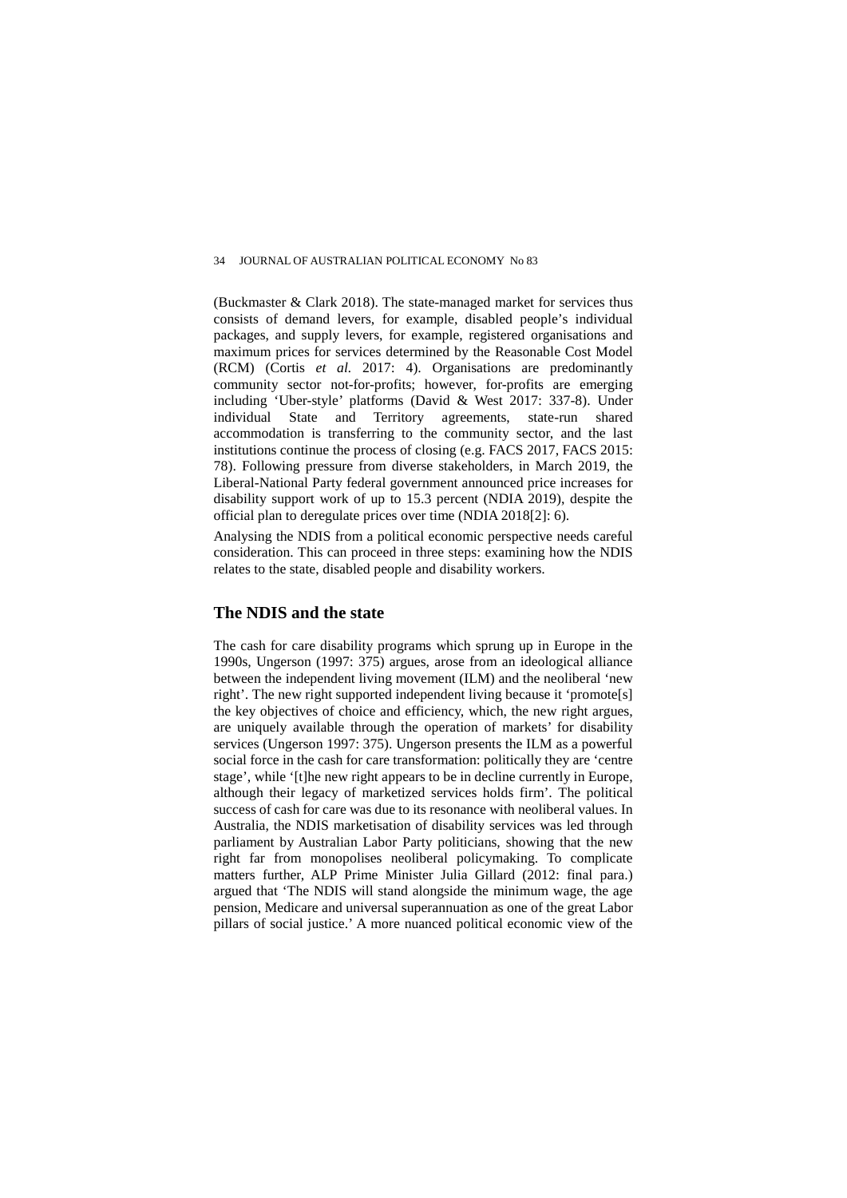(Buckmaster & Clark 2018). The state-managed market for services thus consists of demand levers, for example, disabled people's individual packages, and supply levers, for example, registered organisations and maximum prices for services determined by the Reasonable Cost Model (RCM) (Cortis *et al.* 2017: 4). Organisations are predominantly community sector not-for-profits; however, for-profits are emerging including 'Uber-style' platforms (David & West 2017: 337-8). Under individual State and Territory agreements, state-run shared accommodation is transferring to the community sector, and the last institutions continue the process of closing (e.g. FACS 2017, FACS 2015: 78). Following pressure from diverse stakeholders, in March 2019, the Liberal-National Party federal government announced price increases for disability support work of up to 15.3 percent (NDIA 2019), despite the official plan to deregulate prices over time (NDIA 2018[2]: 6).

Analysing the NDIS from a political economic perspective needs careful consideration. This can proceed in three steps: examining how the NDIS relates to the state, disabled people and disability workers.

## **The NDIS and the state**

The cash for care disability programs which sprung up in Europe in the 1990s, Ungerson (1997: 375) argues, arose from an ideological alliance between the independent living movement (ILM) and the neoliberal 'new right'. The new right supported independent living because it 'promote[s] the key objectives of choice and efficiency, which, the new right argues, are uniquely available through the operation of markets' for disability services (Ungerson 1997: 375). Ungerson presents the ILM as a powerful social force in the cash for care transformation: politically they are 'centre stage', while '[t]he new right appears to be in decline currently in Europe, although their legacy of marketized services holds firm'. The political success of cash for care was due to its resonance with neoliberal values. In Australia, the NDIS marketisation of disability services was led through parliament by Australian Labor Party politicians, showing that the new right far from monopolises neoliberal policymaking. To complicate matters further, ALP Prime Minister Julia Gillard (2012: final para.) argued that 'The NDIS will stand alongside the minimum wage, the age pension, Medicare and universal superannuation as one of the great Labor pillars of social justice.' A more nuanced political economic view of the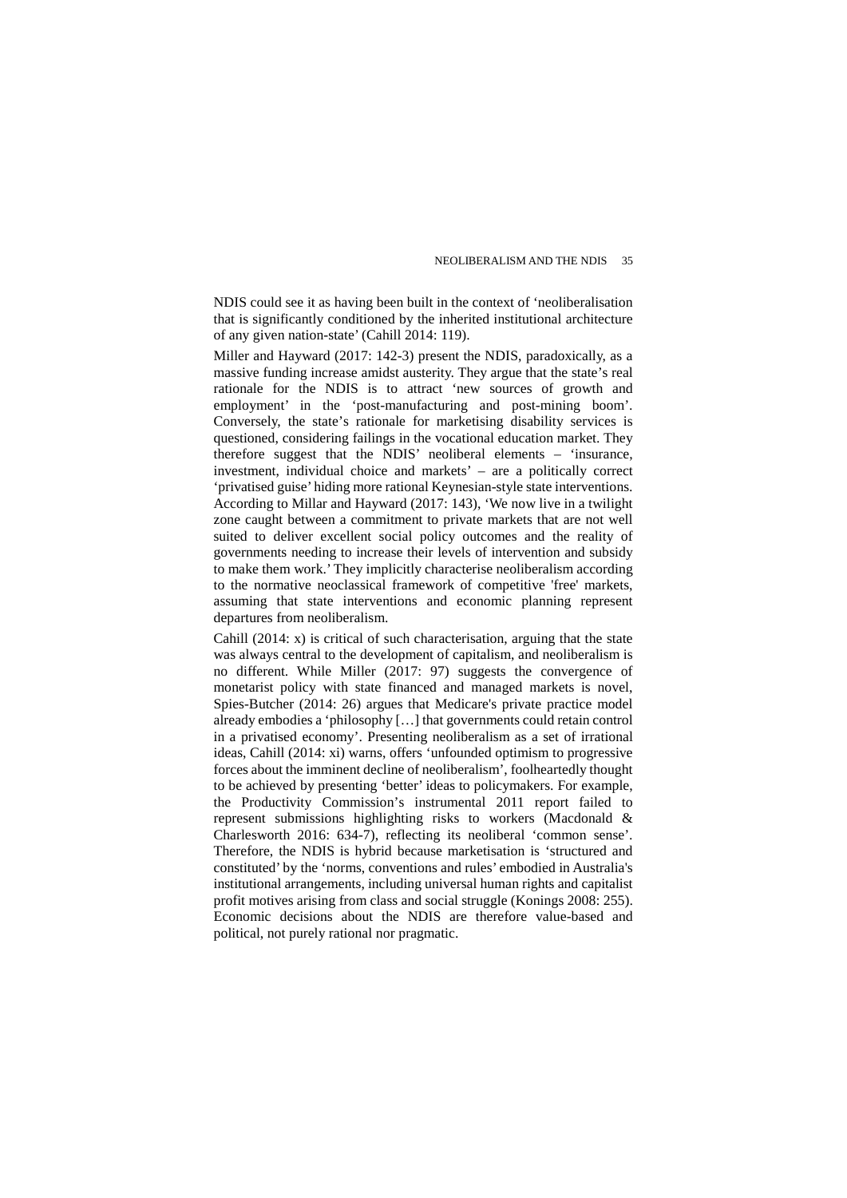NDIS could see it as having been built in the context of 'neoliberalisation that is significantly conditioned by the inherited institutional architecture of any given nation-state' (Cahill 2014: 119).

Miller and Hayward (2017: 142-3) present the NDIS, paradoxically, as a massive funding increase amidst austerity. They argue that the state's real rationale for the NDIS is to attract 'new sources of growth and employment' in the 'post-manufacturing and post-mining boom'. Conversely, the state's rationale for marketising disability services is questioned, considering failings in the vocational education market. They therefore suggest that the NDIS' neoliberal elements – 'insurance, investment, individual choice and markets' – are a politically correct 'privatised guise' hiding more rational Keynesian-style state interventions. According to Millar and Hayward (2017: 143), 'We now live in a twilight zone caught between a commitment to private markets that are not well suited to deliver excellent social policy outcomes and the reality of governments needing to increase their levels of intervention and subsidy to make them work.' They implicitly characterise neoliberalism according to the normative neoclassical framework of competitive 'free' markets, assuming that state interventions and economic planning represent departures from neoliberalism.

Cahill (2014: x) is critical of such characterisation, arguing that the state was always central to the development of capitalism, and neoliberalism is no different. While Miller (2017: 97) suggests the convergence of monetarist policy with state financed and managed markets is novel, Spies-Butcher (2014: 26) argues that Medicare's private practice model already embodies a 'philosophy […] that governments could retain control in a privatised economy'. Presenting neoliberalism as a set of irrational ideas, Cahill (2014: xi) warns, offers 'unfounded optimism to progressive forces about the imminent decline of neoliberalism', foolheartedly thought to be achieved by presenting 'better' ideas to policymakers. For example, the Productivity Commission's instrumental 2011 report failed to represent submissions highlighting risks to workers (Macdonald & Charlesworth 2016: 634-7), reflecting its neoliberal 'common sense'. Therefore, the NDIS is hybrid because marketisation is 'structured and constituted' by the 'norms, conventions and rules' embodied in Australia's institutional arrangements, including universal human rights and capitalist profit motives arising from class and social struggle (Konings 2008: 255). Economic decisions about the NDIS are therefore value-based and political, not purely rational nor pragmatic.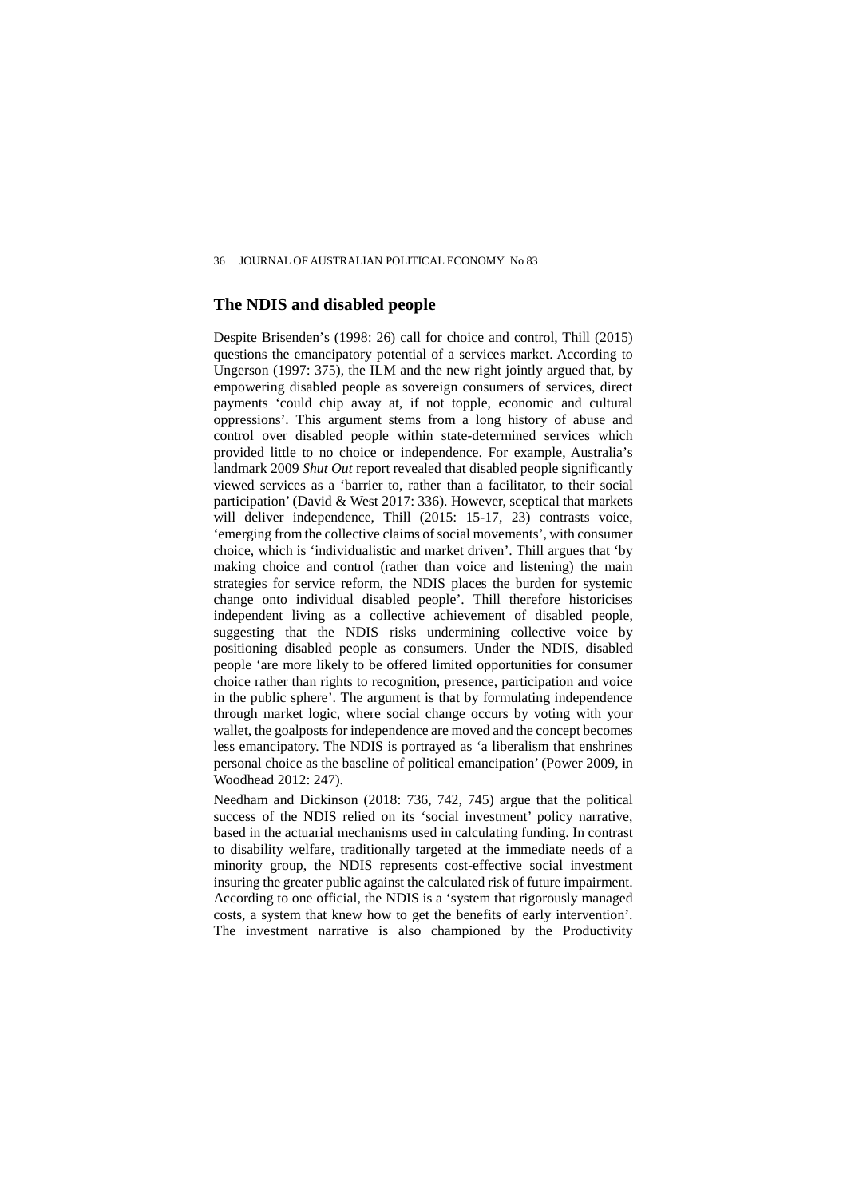## **The NDIS and disabled people**

Despite Brisenden's (1998: 26) call for choice and control, Thill (2015) questions the emancipatory potential of a services market. According to Ungerson (1997: 375), the ILM and the new right jointly argued that, by empowering disabled people as sovereign consumers of services, direct payments 'could chip away at, if not topple, economic and cultural oppressions'. This argument stems from a long history of abuse and control over disabled people within state-determined services which provided little to no choice or independence. For example, Australia's landmark 2009 *Shut Out* report revealed that disabled people significantly viewed services as a 'barrier to, rather than a facilitator, to their social participation' (David & West 2017: 336). However, sceptical that markets will deliver independence, Thill (2015: 15-17, 23) contrasts voice, 'emerging from the collective claims of social movements', with consumer choice, which is 'individualistic and market driven'. Thill argues that 'by making choice and control (rather than voice and listening) the main strategies for service reform, the NDIS places the burden for systemic change onto individual disabled people'. Thill therefore historicises independent living as a collective achievement of disabled people, suggesting that the NDIS risks undermining collective voice by positioning disabled people as consumers. Under the NDIS, disabled people 'are more likely to be offered limited opportunities for consumer choice rather than rights to recognition, presence, participation and voice in the public sphere'. The argument is that by formulating independence through market logic, where social change occurs by voting with your wallet, the goalposts for independence are moved and the concept becomes less emancipatory. The NDIS is portrayed as 'a liberalism that enshrines personal choice as the baseline of political emancipation' (Power 2009, in Woodhead 2012: 247).

Needham and Dickinson (2018: 736, 742, 745) argue that the political success of the NDIS relied on its 'social investment' policy narrative, based in the actuarial mechanisms used in calculating funding. In contrast to disability welfare, traditionally targeted at the immediate needs of a minority group, the NDIS represents cost-effective social investment insuring the greater public against the calculated risk of future impairment. According to one official, the NDIS is a 'system that rigorously managed costs, a system that knew how to get the benefits of early intervention'. The investment narrative is also championed by the Productivity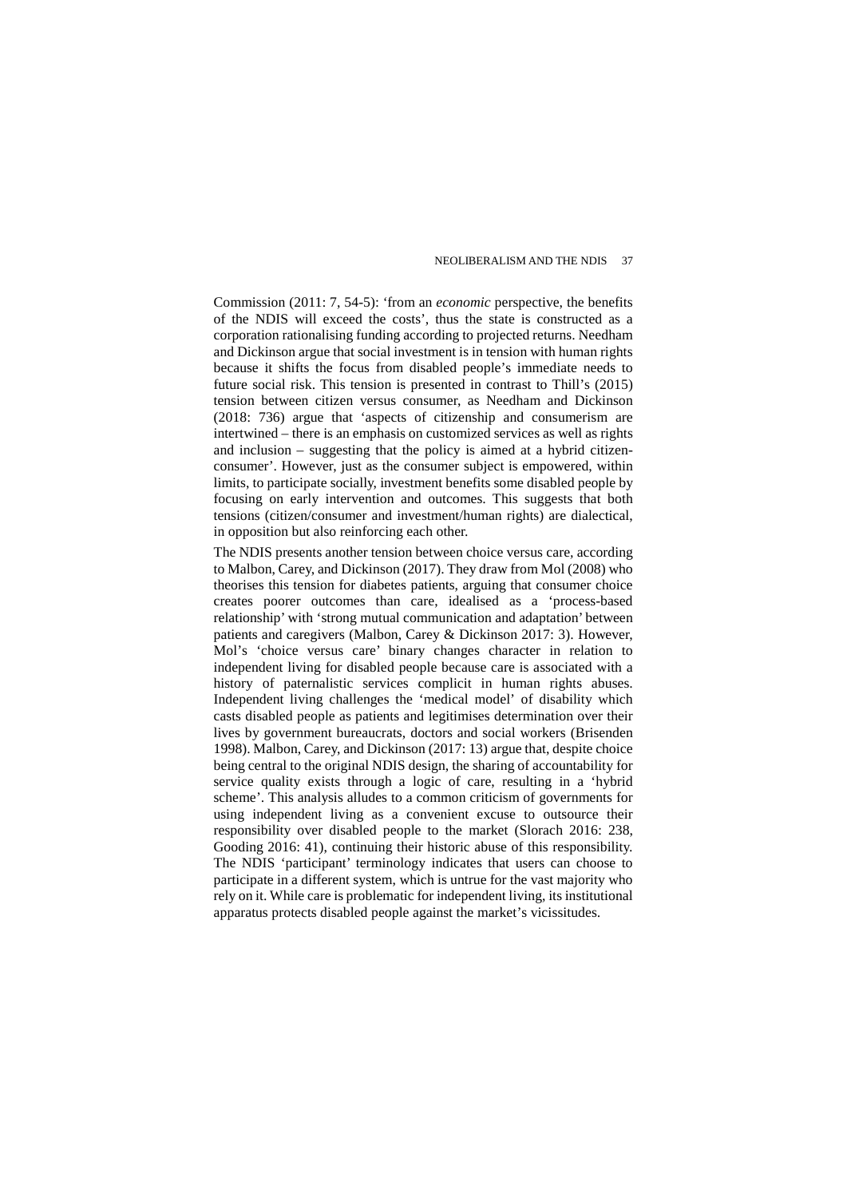Commission (2011: 7, 54-5): 'from an *economic* perspective, the benefits of the NDIS will exceed the costs', thus the state is constructed as a corporation rationalising funding according to projected returns. Needham and Dickinson argue that social investment is in tension with human rights because it shifts the focus from disabled people's immediate needs to future social risk. This tension is presented in contrast to Thill's (2015) tension between citizen versus consumer, as Needham and Dickinson (2018: 736) argue that 'aspects of citizenship and consumerism are intertwined – there is an emphasis on customized services as well as rights and inclusion – suggesting that the policy is aimed at a hybrid citizenconsumer'. However, just as the consumer subject is empowered, within limits, to participate socially, investment benefits some disabled people by focusing on early intervention and outcomes. This suggests that both tensions (citizen/consumer and investment/human rights) are dialectical, in opposition but also reinforcing each other.

The NDIS presents another tension between choice versus care*,* according to Malbon, Carey, and Dickinson (2017). They draw from Mol (2008) who theorises this tension for diabetes patients, arguing that consumer choice creates poorer outcomes than care, idealised as a 'process-based relationship' with 'strong mutual communication and adaptation' between patients and caregivers (Malbon, Carey & Dickinson 2017: 3). However, Mol's 'choice versus care' binary changes character in relation to independent living for disabled people because care is associated with a history of paternalistic services complicit in human rights abuses. Independent living challenges the 'medical model' of disability which casts disabled people as patients and legitimises determination over their lives by government bureaucrats, doctors and social workers (Brisenden 1998). Malbon, Carey, and Dickinson (2017: 13) argue that, despite choice being central to the original NDIS design, the sharing of accountability for service quality exists through a logic of care, resulting in a 'hybrid scheme'. This analysis alludes to a common criticism of governments for using independent living as a convenient excuse to outsource their responsibility over disabled people to the market (Slorach 2016: 238, Gooding 2016: 41), continuing their historic abuse of this responsibility. The NDIS 'participant' terminology indicates that users can choose to participate in a different system, which is untrue for the vast majority who rely on it. While care is problematic for independent living, its institutional apparatus protects disabled people against the market's vicissitudes.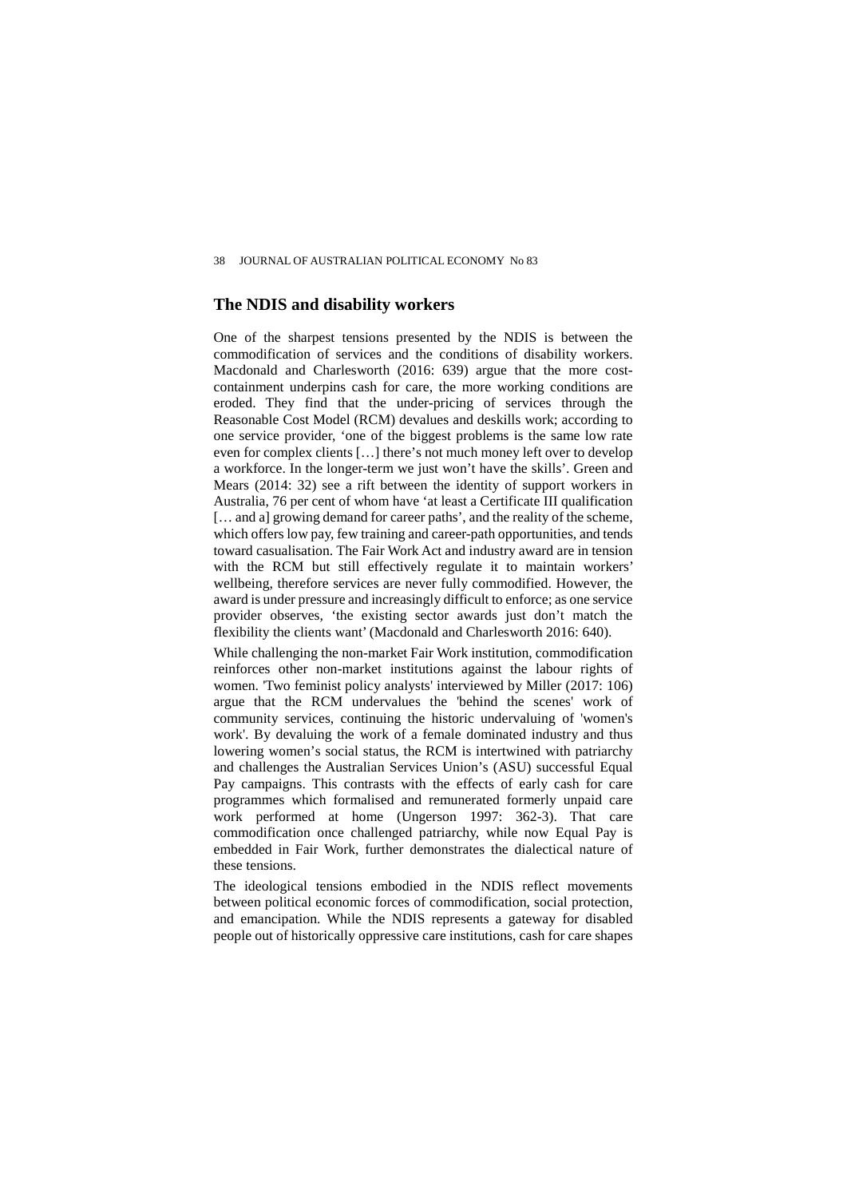## **The NDIS and disability workers**

One of the sharpest tensions presented by the NDIS is between the commodification of services and the conditions of disability workers. Macdonald and Charlesworth (2016: 639) argue that the more costcontainment underpins cash for care, the more working conditions are eroded. They find that the under-pricing of services through the Reasonable Cost Model (RCM) devalues and deskills work; according to one service provider, 'one of the biggest problems is the same low rate even for complex clients […] there's not much money left over to develop a workforce. In the longer-term we just won't have the skills'. Green and Mears (2014: 32) see a rift between the identity of support workers in Australia, 76 per cent of whom have 'at least a Certificate III qualification [… and a] growing demand for career paths', and the reality of the scheme, which offers low pay, few training and career-path opportunities, and tends toward casualisation. The Fair Work Act and industry award are in tension with the RCM but still effectively regulate it to maintain workers' wellbeing, therefore services are never fully commodified. However, the award is under pressure and increasingly difficult to enforce; as one service provider observes, 'the existing sector awards just don't match the flexibility the clients want' (Macdonald and Charlesworth 2016: 640).

While challenging the non-market Fair Work institution, commodification reinforces other non-market institutions against the labour rights of women. 'Two feminist policy analysts' interviewed by Miller (2017: 106) argue that the RCM undervalues the 'behind the scenes' work of community services, continuing the historic undervaluing of 'women's work'. By devaluing the work of a female dominated industry and thus lowering women's social status, the RCM is intertwined with patriarchy and challenges the Australian Services Union's (ASU) successful Equal Pay campaigns. This contrasts with the effects of early cash for care programmes which formalised and remunerated formerly unpaid care work performed at home (Ungerson 1997: 362-3). That care commodification once challenged patriarchy, while now Equal Pay is embedded in Fair Work, further demonstrates the dialectical nature of these tensions.

The ideological tensions embodied in the NDIS reflect movements between political economic forces of commodification, social protection, and emancipation. While the NDIS represents a gateway for disabled people out of historically oppressive care institutions, cash for care shapes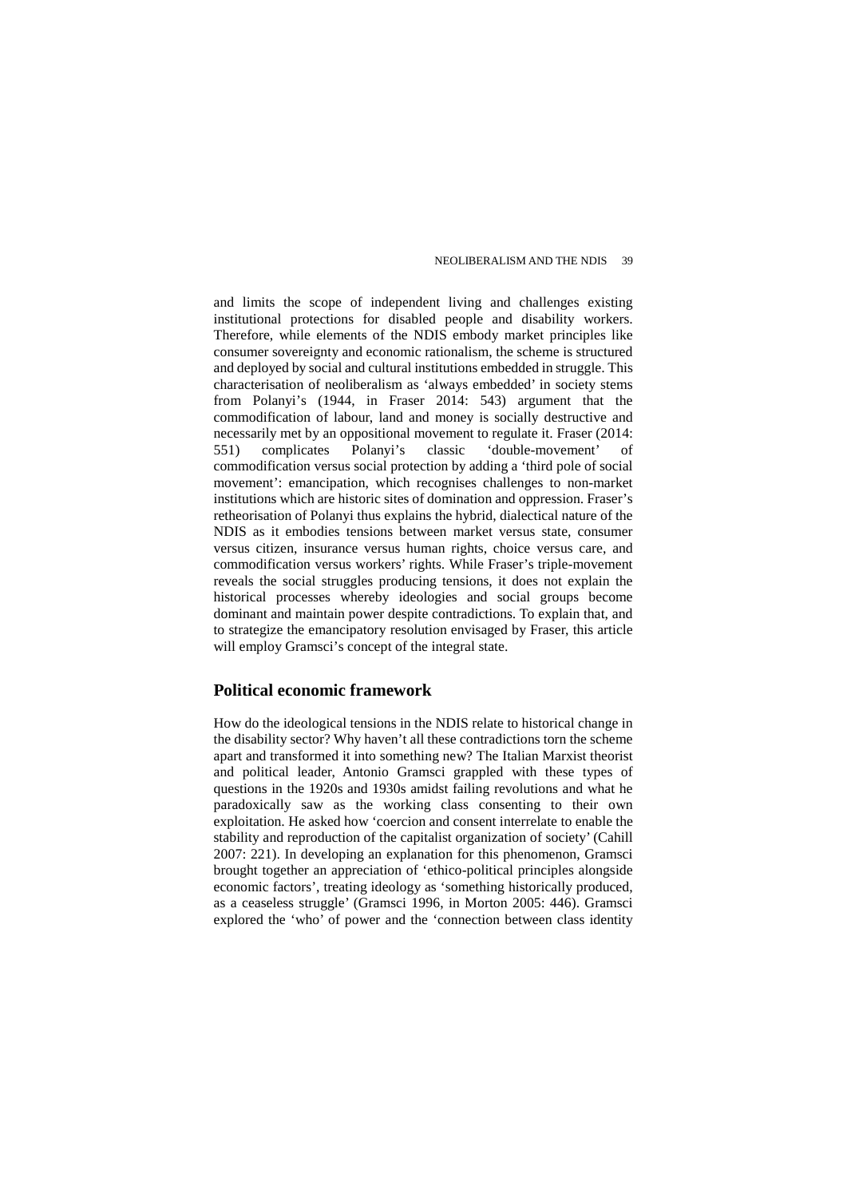and limits the scope of independent living and challenges existing institutional protections for disabled people and disability workers. Therefore, while elements of the NDIS embody market principles like consumer sovereignty and economic rationalism, the scheme is structured and deployed by social and cultural institutions embedded in struggle. This characterisation of neoliberalism as 'always embedded' in society stems from Polanyi's (1944, in Fraser 2014: 543) argument that the commodification of labour, land and money is socially destructive and necessarily met by an oppositional movement to regulate it. Fraser (2014:<br>551) complicates Polanyi's classic 'double-movement' of 551) complicates Polanyi's classic 'double-movement' of commodification versus social protection by adding a 'third pole of social movement': emancipation, which recognises challenges to non-market institutions which are historic sites of domination and oppression. Fraser's retheorisation of Polanyi thus explains the hybrid, dialectical nature of the NDIS as it embodies tensions between market versus state, consumer versus citizen, insurance versus human rights, choice versus care, and commodification versus workers' rights. While Fraser's triple-movement reveals the social struggles producing tensions, it does not explain the historical processes whereby ideologies and social groups become dominant and maintain power despite contradictions. To explain that, and to strategize the emancipatory resolution envisaged by Fraser, this article will employ Gramsci's concept of the integral state.

#### **Political economic framework**

How do the ideological tensions in the NDIS relate to historical change in the disability sector? Why haven't all these contradictions torn the scheme apart and transformed it into something new? The Italian Marxist theorist and political leader, Antonio Gramsci grappled with these types of questions in the 1920s and 1930s amidst failing revolutions and what he paradoxically saw as the working class consenting to their own exploitation. He asked how 'coercion and consent interrelate to enable the stability and reproduction of the capitalist organization of society' (Cahill 2007: 221). In developing an explanation for this phenomenon, Gramsci brought together an appreciation of 'ethico-political principles alongside economic factors', treating ideology as 'something historically produced, as a ceaseless struggle' (Gramsci 1996, in Morton 2005: 446). Gramsci explored the 'who' of power and the 'connection between class identity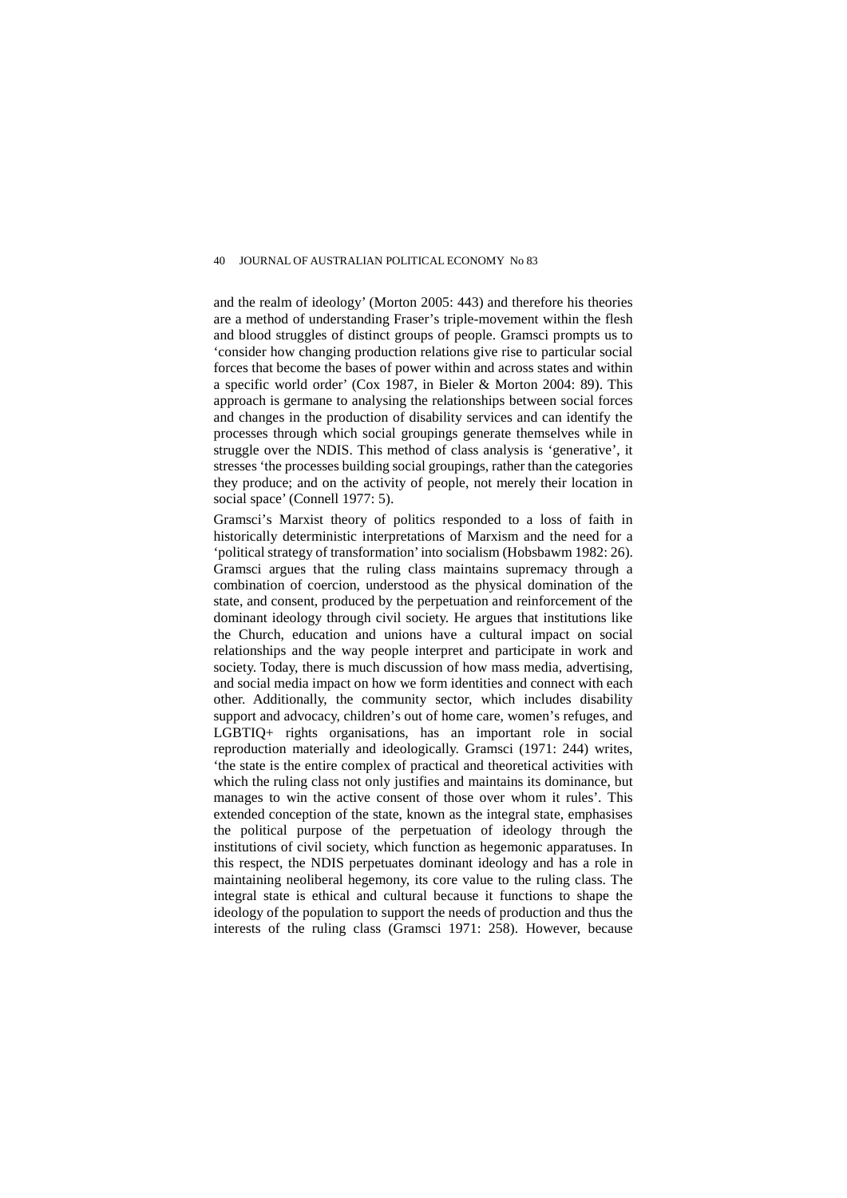and the realm of ideology' (Morton 2005: 443) and therefore his theories are a method of understanding Fraser's triple-movement within the flesh and blood struggles of distinct groups of people. Gramsci prompts us to 'consider how changing production relations give rise to particular social forces that become the bases of power within and across states and within a specific world order' (Cox 1987, in Bieler & Morton 2004: 89). This approach is germane to analysing the relationships between social forces and changes in the production of disability services and can identify the processes through which social groupings generate themselves while in struggle over the NDIS. This method of class analysis is 'generative', it stresses 'the processes building social groupings, rather than the categories they produce; and on the activity of people, not merely their location in social space' (Connell 1977: 5).

Gramsci's Marxist theory of politics responded to a loss of faith in historically deterministic interpretations of Marxism and the need for a 'political strategy of transformation' into socialism (Hobsbawm 1982: 26). Gramsci argues that the ruling class maintains supremacy through a combination of coercion, understood as the physical domination of the state, and consent, produced by the perpetuation and reinforcement of the dominant ideology through civil society. He argues that institutions like the Church, education and unions have a cultural impact on social relationships and the way people interpret and participate in work and society. Today, there is much discussion of how mass media, advertising, and social media impact on how we form identities and connect with each other. Additionally, the community sector, which includes disability support and advocacy, children's out of home care, women's refuges, and LGBTIQ+ rights organisations, has an important role in social reproduction materially and ideologically. Gramsci (1971: 244) writes, 'the state is the entire complex of practical and theoretical activities with which the ruling class not only justifies and maintains its dominance, but manages to win the active consent of those over whom it rules'. This extended conception of the state, known as the integral state, emphasises the political purpose of the perpetuation of ideology through the institutions of civil society, which function as hegemonic apparatuses. In this respect, the NDIS perpetuates dominant ideology and has a role in maintaining neoliberal hegemony, its core value to the ruling class. The integral state is ethical and cultural because it functions to shape the ideology of the population to support the needs of production and thus the interests of the ruling class (Gramsci 1971: 258). However, because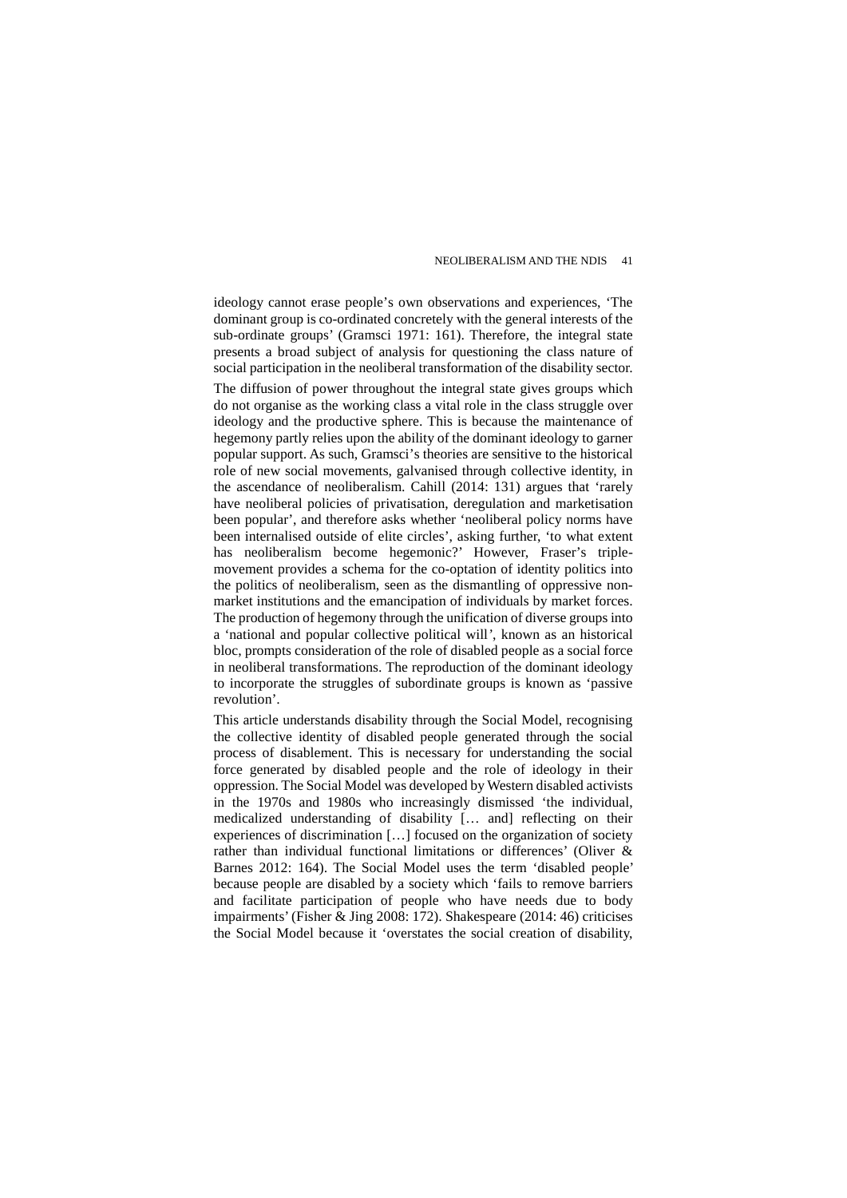ideology cannot erase people's own observations and experiences, 'The dominant group is co-ordinated concretely with the general interests of the sub-ordinate groups' (Gramsci 1971: 161). Therefore, the integral state presents a broad subject of analysis for questioning the class nature of social participation in the neoliberal transformation of the disability sector. The diffusion of power throughout the integral state gives groups which do not organise as the working class a vital role in the class struggle over ideology and the productive sphere. This is because the maintenance of hegemony partly relies upon the ability of the dominant ideology to garner popular support. As such, Gramsci's theories are sensitive to the historical role of new social movements, galvanised through collective identity, in the ascendance of neoliberalism. Cahill (2014: 131) argues that 'rarely have neoliberal policies of privatisation, deregulation and marketisation been popular', and therefore asks whether 'neoliberal policy norms have been internalised outside of elite circles', asking further, 'to what extent has neoliberalism become hegemonic?' However, Fraser's triplemovement provides a schema for the co-optation of identity politics into the politics of neoliberalism, seen as the dismantling of oppressive nonmarket institutions and the emancipation of individuals by market forces. The production of hegemony through the unification of diverse groups into a 'national and popular collective political will*'*, known as an historical bloc, prompts consideration of the role of disabled people as a social force in neoliberal transformations. The reproduction of the dominant ideology to incorporate the struggles of subordinate groups is known as 'passive revolution'.

This article understands disability through the Social Model, recognising the collective identity of disabled people generated through the social process of disablement. This is necessary for understanding the social force generated by disabled people and the role of ideology in their oppression. The Social Model was developed by Western disabled activists in the 1970s and 1980s who increasingly dismissed 'the individual, medicalized understanding of disability [… and] reflecting on their experiences of discrimination […] focused on the organization of society rather than individual functional limitations or differences' (Oliver & Barnes 2012: 164). The Social Model uses the term 'disabled people' because people are disabled by a society which 'fails to remove barriers and facilitate participation of people who have needs due to body impairments' (Fisher & Jing 2008: 172). Shakespeare (2014: 46) criticises the Social Model because it 'overstates the social creation of disability,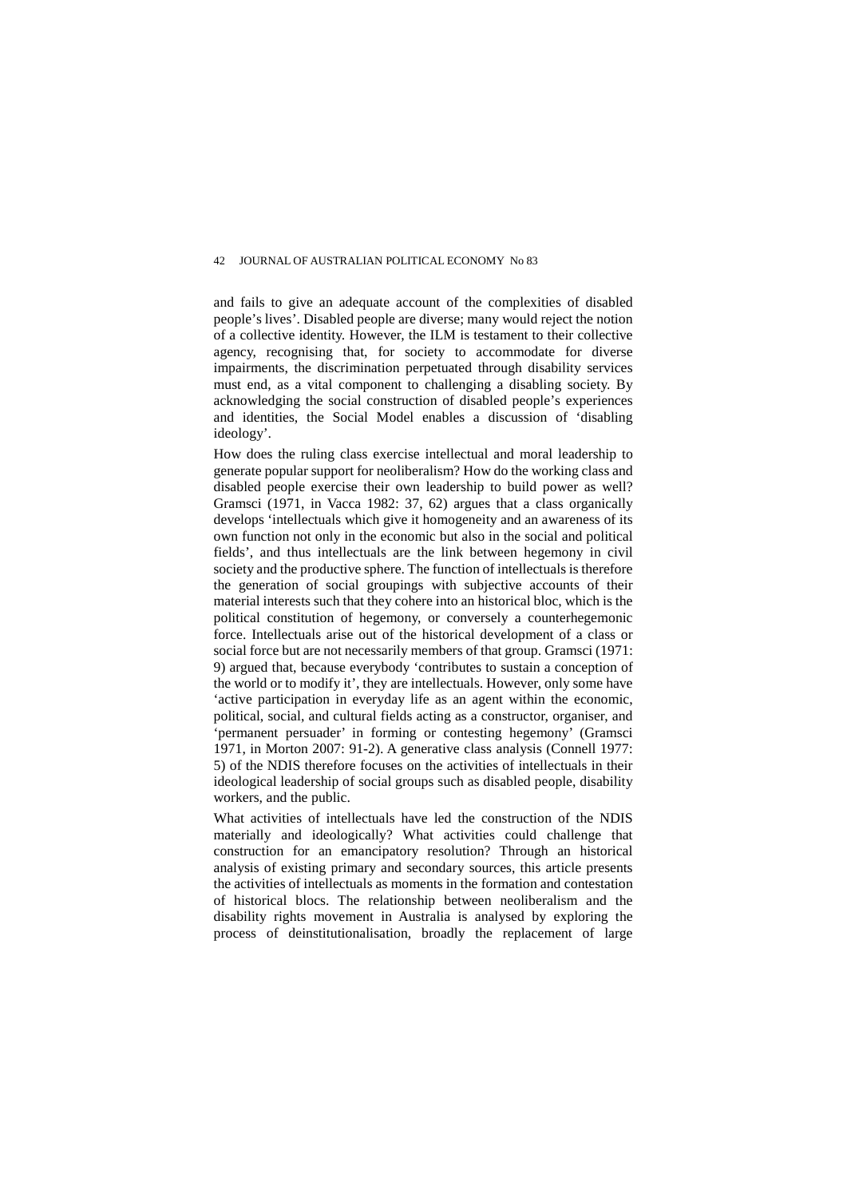and fails to give an adequate account of the complexities of disabled people's lives'. Disabled people are diverse; many would reject the notion of a collective identity. However, the ILM is testament to their collective agency, recognising that, for society to accommodate for diverse impairments, the discrimination perpetuated through disability services must end, as a vital component to challenging a disabling society. By acknowledging the social construction of disabled people's experiences and identities, the Social Model enables a discussion of 'disabling ideology'.

How does the ruling class exercise intellectual and moral leadership to generate popular support for neoliberalism? How do the working class and disabled people exercise their own leadership to build power as well? Gramsci (1971, in Vacca 1982: 37, 62) argues that a class organically develops 'intellectuals which give it homogeneity and an awareness of its own function not only in the economic but also in the social and political fields', and thus intellectuals are the link between hegemony in civil society and the productive sphere. The function of intellectuals is therefore the generation of social groupings with subjective accounts of their material interests such that they cohere into an historical bloc, which is the political constitution of hegemony, or conversely a counterhegemonic force. Intellectuals arise out of the historical development of a class or social force but are not necessarily members of that group. Gramsci (1971: 9) argued that, because everybody 'contributes to sustain a conception of the world or to modify it', they are intellectuals. However, only some have 'active participation in everyday life as an agent within the economic, political, social, and cultural fields acting as a constructor, organiser, and 'permanent persuader' in forming or contesting hegemony' (Gramsci 1971, in Morton 2007: 91-2). A generative class analysis (Connell 1977: 5) of the NDIS therefore focuses on the activities of intellectuals in their ideological leadership of social groups such as disabled people, disability workers, and the public.

What activities of intellectuals have led the construction of the NDIS materially and ideologically? What activities could challenge that construction for an emancipatory resolution? Through an historical analysis of existing primary and secondary sources, this article presents the activities of intellectuals as moments in the formation and contestation of historical blocs. The relationship between neoliberalism and the disability rights movement in Australia is analysed by exploring the process of deinstitutionalisation, broadly the replacement of large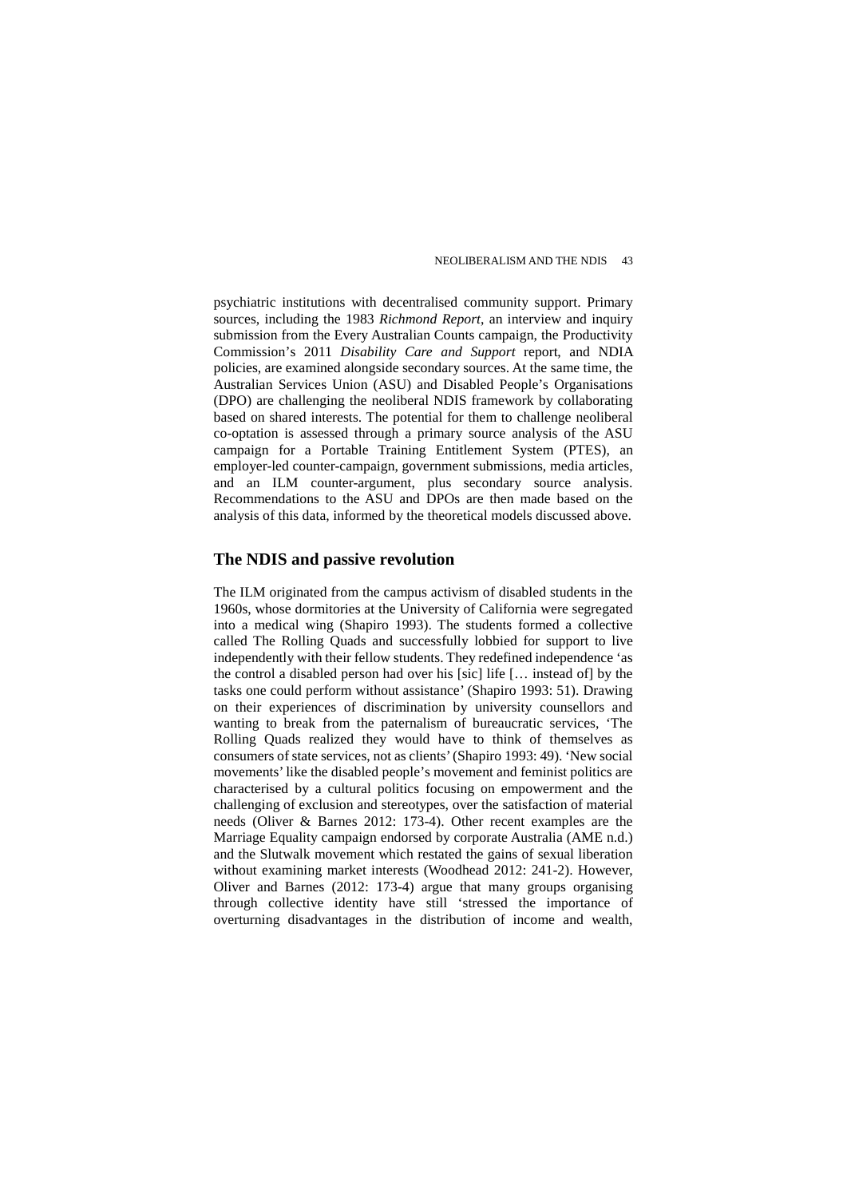psychiatric institutions with decentralised community support. Primary sources, including the 1983 *Richmond Report*, an interview and inquiry submission from the Every Australian Counts campaign, the Productivity Commission's 2011 *Disability Care and Support* report, and NDIA policies, are examined alongside secondary sources. At the same time, the Australian Services Union (ASU) and Disabled People's Organisations (DPO) are challenging the neoliberal NDIS framework by collaborating based on shared interests. The potential for them to challenge neoliberal co-optation is assessed through a primary source analysis of the ASU campaign for a Portable Training Entitlement System (PTES), an employer-led counter-campaign, government submissions, media articles, and an ILM counter-argument, plus secondary source analysis. Recommendations to the ASU and DPOs are then made based on the analysis of this data, informed by the theoretical models discussed above.

#### **The NDIS and passive revolution**

The ILM originated from the campus activism of disabled students in the 1960s, whose dormitories at the University of California were segregated into a medical wing (Shapiro 1993). The students formed a collective called The Rolling Quads and successfully lobbied for support to live independently with their fellow students. They redefined independence 'as the control a disabled person had over his [sic] life [… instead of] by the tasks one could perform without assistance' (Shapiro 1993: 51). Drawing on their experiences of discrimination by university counsellors and wanting to break from the paternalism of bureaucratic services, 'The Rolling Quads realized they would have to think of themselves as consumers of state services, not as clients' (Shapiro 1993: 49). 'New social movements' like the disabled people's movement and feminist politics are characterised by a cultural politics focusing on empowerment and the challenging of exclusion and stereotypes, over the satisfaction of material needs (Oliver & Barnes 2012: 173-4). Other recent examples are the Marriage Equality campaign endorsed by corporate Australia (AME n.d.) and the Slutwalk movement which restated the gains of sexual liberation without examining market interests (Woodhead 2012: 241-2). However, Oliver and Barnes (2012: 173-4) argue that many groups organising through collective identity have still 'stressed the importance of overturning disadvantages in the distribution of income and wealth,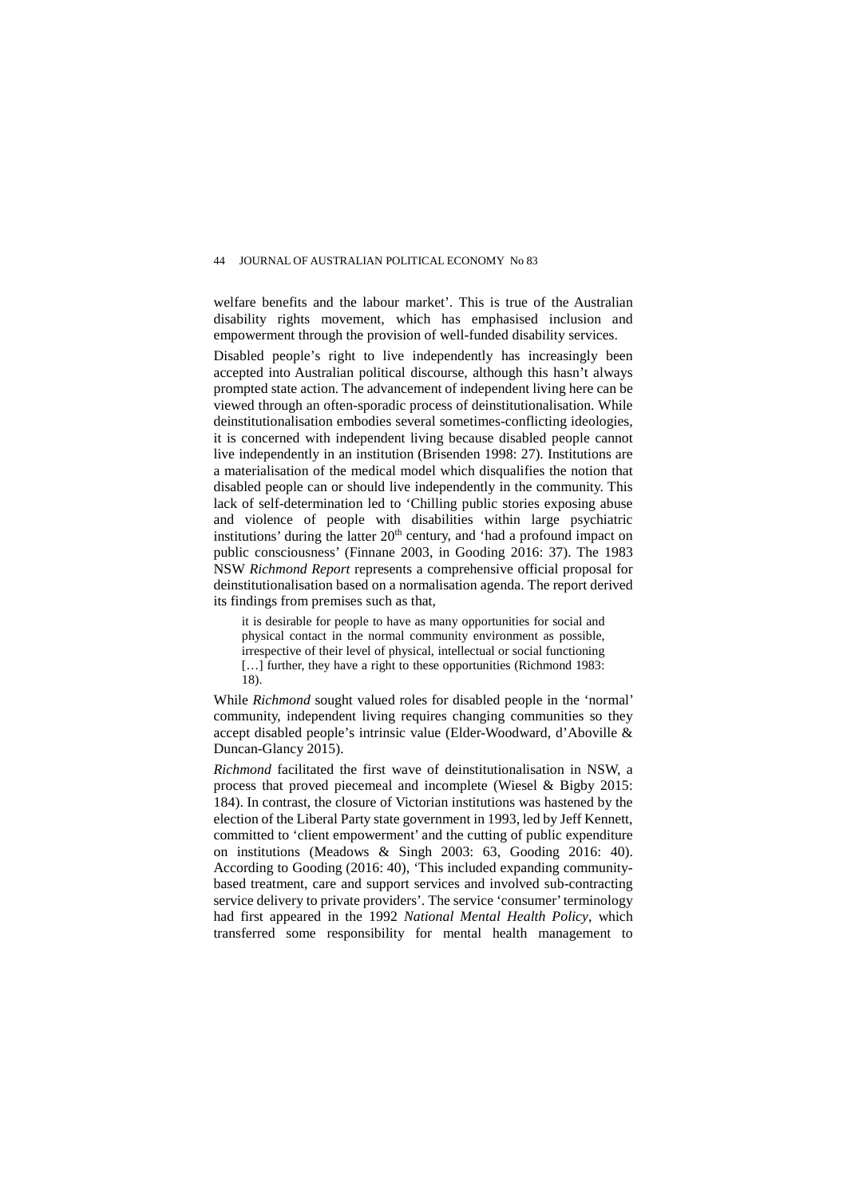welfare benefits and the labour market'. This is true of the Australian disability rights movement, which has emphasised inclusion and empowerment through the provision of well-funded disability services.

Disabled people's right to live independently has increasingly been accepted into Australian political discourse, although this hasn't always prompted state action. The advancement of independent living here can be viewed through an often-sporadic process of deinstitutionalisation. While deinstitutionalisation embodies several sometimes-conflicting ideologies, it is concerned with independent living because disabled people cannot live independently in an institution (Brisenden 1998: 27). Institutions are a materialisation of the medical model which disqualifies the notion that disabled people can or should live independently in the community. This lack of self-determination led to 'Chilling public stories exposing abuse and violence of people with disabilities within large psychiatric institutions' during the latter 20<sup>th</sup> century, and 'had a profound impact on public consciousness' (Finnane 2003, in Gooding 2016: 37). The 1983 NSW *Richmond Report* represents a comprehensive official proposal for deinstitutionalisation based on a normalisation agenda. The report derived its findings from premises such as that,

it is desirable for people to have as many opportunities for social and physical contact in the normal community environment as possible, irrespective of their level of physical, intellectual or social functioning [...] further, they have a right to these opportunities (Richmond 1983: 18).

While *Richmond* sought valued roles for disabled people in the 'normal' community, independent living requires changing communities so they accept disabled people's intrinsic value (Elder-Woodward, d'Aboville & Duncan-Glancy 2015).

*Richmond* facilitated the first wave of deinstitutionalisation in NSW, a process that proved piecemeal and incomplete (Wiesel & Bigby 2015: 184). In contrast, the closure of Victorian institutions was hastened by the election of the Liberal Party state government in 1993, led by Jeff Kennett, committed to 'client empowerment' and the cutting of public expenditure on institutions (Meadows & Singh 2003: 63, Gooding 2016: 40). According to Gooding (2016: 40), 'This included expanding communitybased treatment, care and support services and involved sub-contracting service delivery to private providers'. The service 'consumer' terminology had first appeared in the 1992 *National Mental Health Policy*, which transferred some responsibility for mental health management to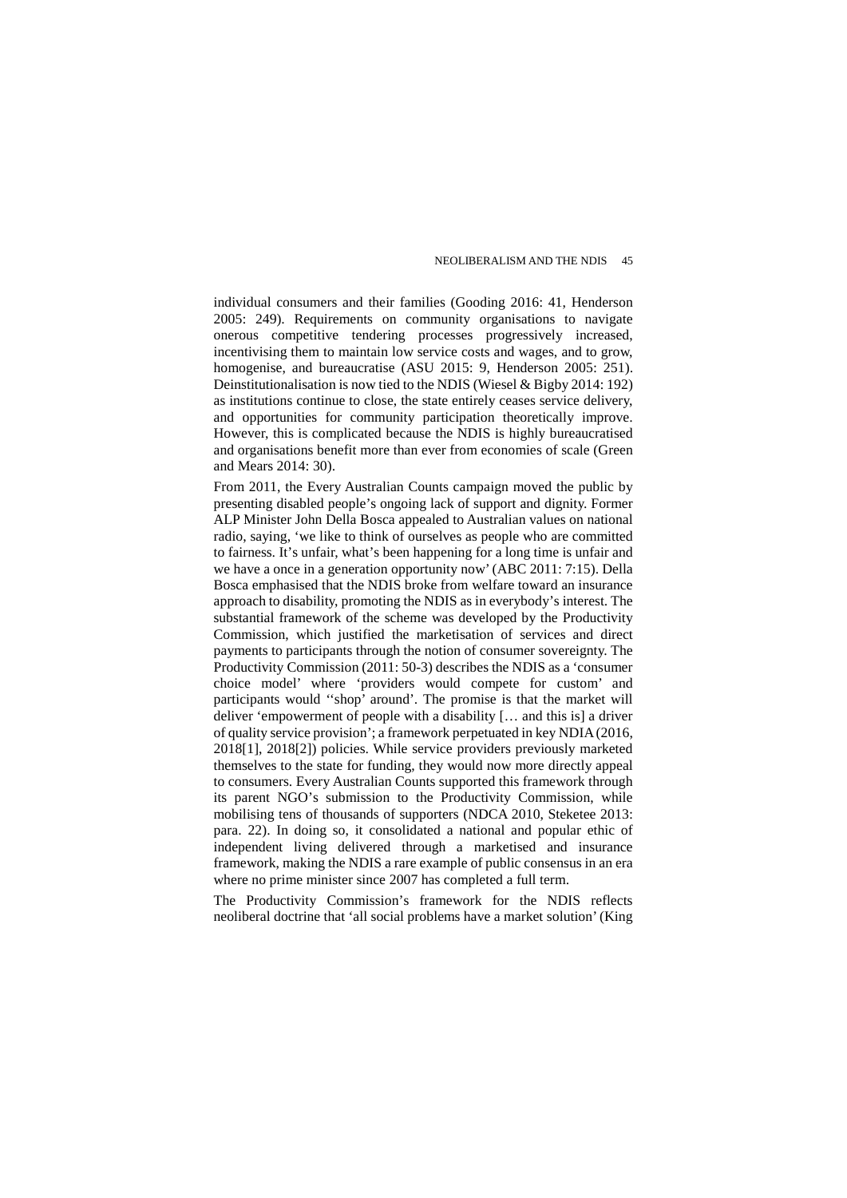individual consumers and their families (Gooding 2016: 41, Henderson 2005: 249). Requirements on community organisations to navigate onerous competitive tendering processes progressively increased, incentivising them to maintain low service costs and wages, and to grow, homogenise, and bureaucratise (ASU 2015: 9, Henderson 2005: 251). Deinstitutionalisation is now tied to the NDIS (Wiesel & Bigby 2014: 192) as institutions continue to close, the state entirely ceases service delivery, and opportunities for community participation theoretically improve. However, this is complicated because the NDIS is highly bureaucratised and organisations benefit more than ever from economies of scale (Green and Mears 2014: 30).

From 2011, the Every Australian Counts campaign moved the public by presenting disabled people's ongoing lack of support and dignity. Former ALP Minister John Della Bosca appealed to Australian values on national radio, saying, 'we like to think of ourselves as people who are committed to fairness. It's unfair, what's been happening for a long time is unfair and we have a once in a generation opportunity now' (ABC 2011: 7:15). Della Bosca emphasised that the NDIS broke from welfare toward an insurance approach to disability, promoting the NDIS as in everybody's interest. The substantial framework of the scheme was developed by the Productivity Commission, which justified the marketisation of services and direct payments to participants through the notion of consumer sovereignty. The Productivity Commission (2011: 50-3) describes the NDIS as a 'consumer choice model' where 'providers would compete for custom' and participants would ''shop' around'. The promise is that the market will deliver 'empowerment of people with a disability [… and this is] a driver of quality service provision'; a framework perpetuated in key NDIA (2016, 2018[1], 2018[2]) policies. While service providers previously marketed themselves to the state for funding, they would now more directly appeal to consumers. Every Australian Counts supported this framework through its parent NGO's submission to the Productivity Commission, while mobilising tens of thousands of supporters (NDCA 2010, Steketee 2013: para. 22). In doing so, it consolidated a national and popular ethic of independent living delivered through a marketised and insurance framework, making the NDIS a rare example of public consensus in an era where no prime minister since 2007 has completed a full term.

The Productivity Commission's framework for the NDIS reflects neoliberal doctrine that 'all social problems have a market solution' (King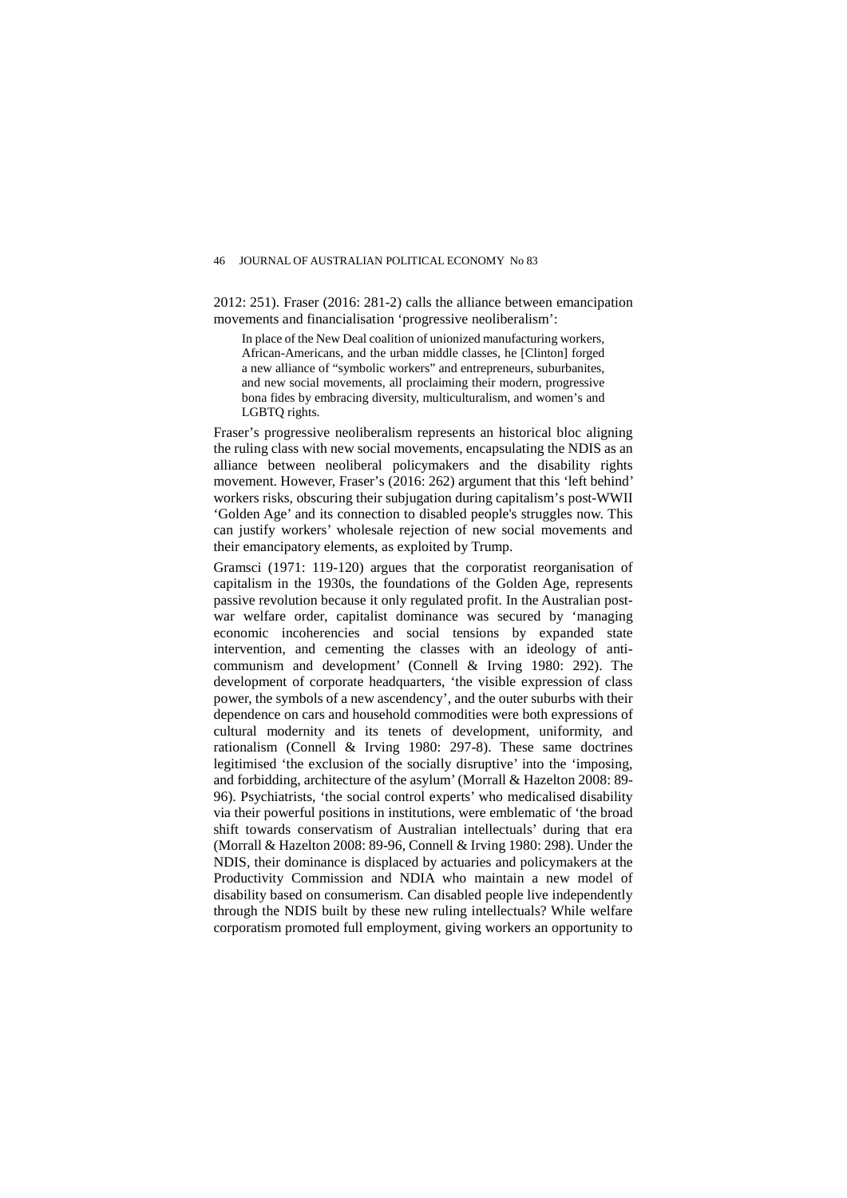2012: 251). Fraser (2016: 281-2) calls the alliance between emancipation movements and financialisation 'progressive neoliberalism':

In place of the New Deal coalition of unionized manufacturing workers, African-Americans, and the urban middle classes, he [Clinton] forged a new alliance of "symbolic workers" and entrepreneurs, suburbanites, and new social movements, all proclaiming their modern, progressive bona fides by embracing diversity, multiculturalism, and women's and LGBTQ rights.

Fraser's progressive neoliberalism represents an historical bloc aligning the ruling class with new social movements, encapsulating the NDIS as an alliance between neoliberal policymakers and the disability rights movement. However, Fraser's (2016: 262) argument that this 'left behind' workers risks, obscuring their subjugation during capitalism's post-WWII 'Golden Age' and its connection to disabled people's struggles now. This can justify workers' wholesale rejection of new social movements and their emancipatory elements, as exploited by Trump.

Gramsci (1971: 119-120) argues that the corporatist reorganisation of capitalism in the 1930s, the foundations of the Golden Age, represents passive revolution because it only regulated profit. In the Australian postwar welfare order, capitalist dominance was secured by 'managing economic incoherencies and social tensions by expanded state intervention, and cementing the classes with an ideology of anticommunism and development' (Connell & Irving 1980: 292). The development of corporate headquarters, 'the visible expression of class power, the symbols of a new ascendency', and the outer suburbs with their dependence on cars and household commodities were both expressions of cultural modernity and its tenets of development, uniformity, and rationalism (Connell & Irving 1980: 297-8). These same doctrines legitimised 'the exclusion of the socially disruptive' into the 'imposing, and forbidding, architecture of the asylum' (Morrall & Hazelton 2008: 89- 96). Psychiatrists, 'the social control experts' who medicalised disability via their powerful positions in institutions, were emblematic of 'the broad shift towards conservatism of Australian intellectuals' during that era (Morrall & Hazelton 2008: 89-96, Connell & Irving 1980: 298). Under the NDIS, their dominance is displaced by actuaries and policymakers at the Productivity Commission and NDIA who maintain a new model of disability based on consumerism. Can disabled people live independently through the NDIS built by these new ruling intellectuals? While welfare corporatism promoted full employment, giving workers an opportunity to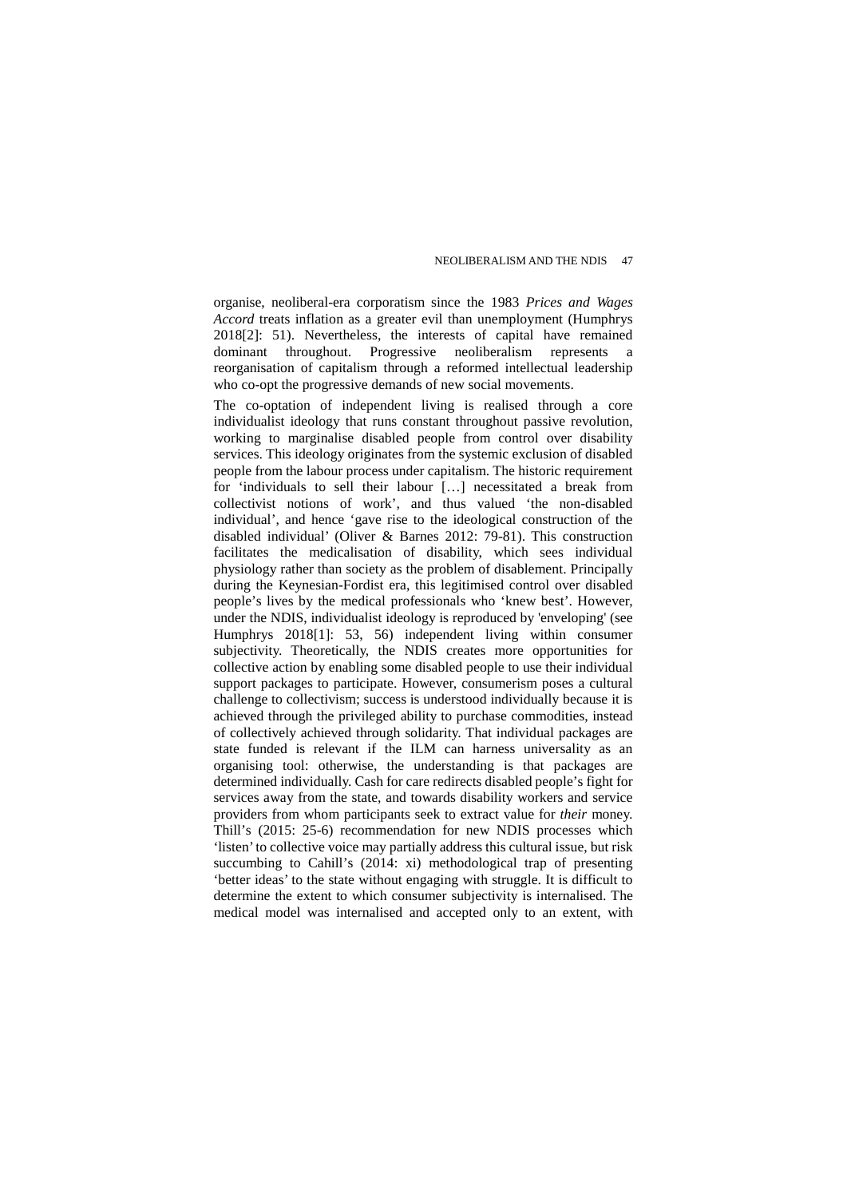organise, neoliberal-era corporatism since the 1983 *Prices and Wages Accord* treats inflation as a greater evil than unemployment (Humphrys 2018[2]: 51). Nevertheless, the interests of capital have remained dominant throughout. Progressive neoliberalism reorganisation of capitalism through a reformed intellectual leadership who co-opt the progressive demands of new social movements.

The co-optation of independent living is realised through a core individualist ideology that runs constant throughout passive revolution, working to marginalise disabled people from control over disability services. This ideology originates from the systemic exclusion of disabled people from the labour process under capitalism. The historic requirement for 'individuals to sell their labour […] necessitated a break from collectivist notions of work', and thus valued 'the non-disabled individual', and hence 'gave rise to the ideological construction of the disabled individual' (Oliver & Barnes 2012: 79-81). This construction facilitates the medicalisation of disability, which sees individual physiology rather than society as the problem of disablement. Principally during the Keynesian-Fordist era, this legitimised control over disabled people's lives by the medical professionals who 'knew best'. However, under the NDIS, individualist ideology is reproduced by 'enveloping' (see Humphrys 2018[1]: 53, 56) independent living within consumer subjectivity. Theoretically, the NDIS creates more opportunities for collective action by enabling some disabled people to use their individual support packages to participate. However, consumerism poses a cultural challenge to collectivism; success is understood individually because it is achieved through the privileged ability to purchase commodities, instead of collectively achieved through solidarity. That individual packages are state funded is relevant if the ILM can harness universality as an organising tool: otherwise, the understanding is that packages are determined individually. Cash for care redirects disabled people's fight for services away from the state, and towards disability workers and service providers from whom participants seek to extract value for *their* money. Thill's (2015: 25-6) recommendation for new NDIS processes which 'listen' to collective voice may partially address this cultural issue, but risk succumbing to Cahill's (2014: xi) methodological trap of presenting 'better ideas' to the state without engaging with struggle. It is difficult to determine the extent to which consumer subjectivity is internalised. The medical model was internalised and accepted only to an extent, with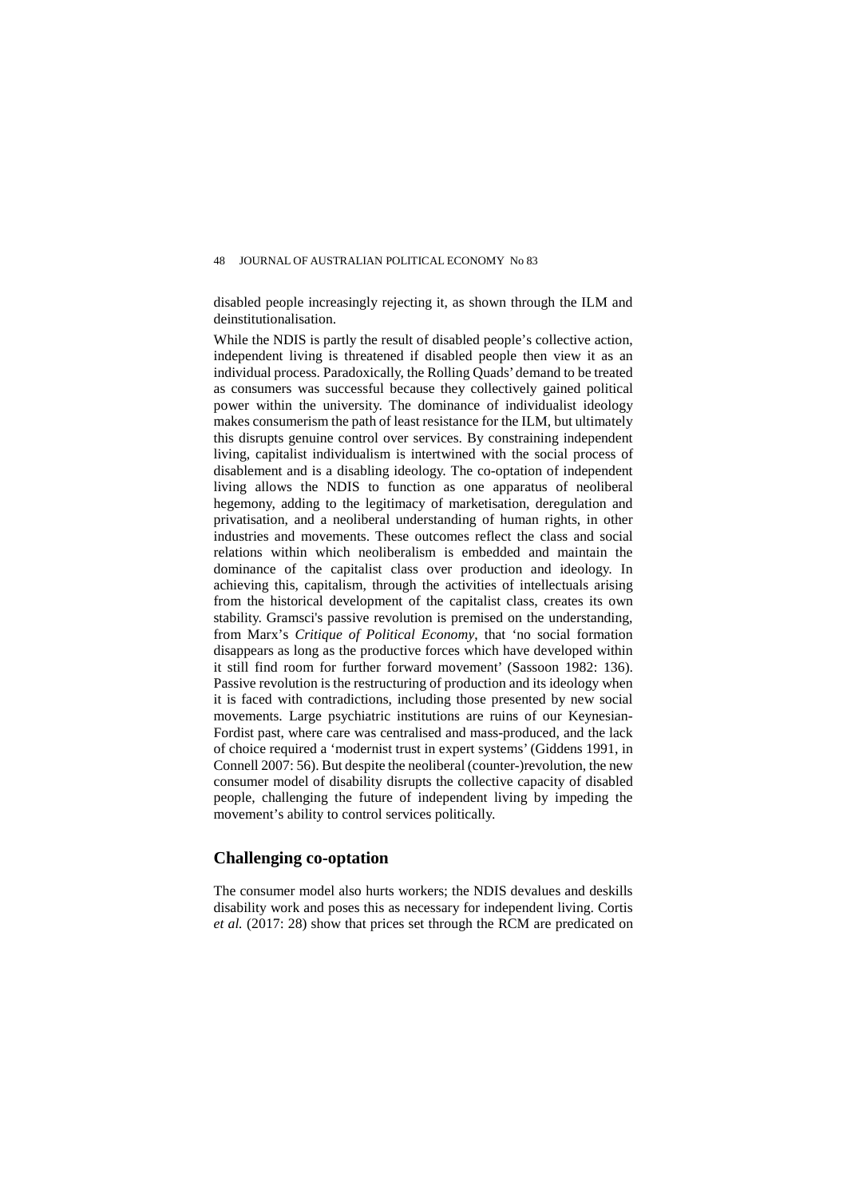disabled people increasingly rejecting it, as shown through the ILM and deinstitutionalisation.

While the NDIS is partly the result of disabled people's collective action, independent living is threatened if disabled people then view it as an individual process. Paradoxically, the Rolling Quads' demand to be treated as consumers was successful because they collectively gained political power within the university. The dominance of individualist ideology makes consumerism the path of least resistance for the ILM, but ultimately this disrupts genuine control over services. By constraining independent living, capitalist individualism is intertwined with the social process of disablement and is a disabling ideology. The co-optation of independent living allows the NDIS to function as one apparatus of neoliberal hegemony, adding to the legitimacy of marketisation, deregulation and privatisation, and a neoliberal understanding of human rights, in other industries and movements. These outcomes reflect the class and social relations within which neoliberalism is embedded and maintain the dominance of the capitalist class over production and ideology. In achieving this, capitalism, through the activities of intellectuals arising from the historical development of the capitalist class, creates its own stability. Gramsci's passive revolution is premised on the understanding, from Marx's *Critique of Political Economy*, that 'no social formation disappears as long as the productive forces which have developed within it still find room for further forward movement' (Sassoon 1982: 136). Passive revolution is the restructuring of production and its ideology when it is faced with contradictions, including those presented by new social movements. Large psychiatric institutions are ruins of our Keynesian-Fordist past, where care was centralised and mass-produced, and the lack of choice required a 'modernist trust in expert systems' (Giddens 1991, in Connell 2007: 56). But despite the neoliberal (counter-)revolution, the new consumer model of disability disrupts the collective capacity of disabled people, challenging the future of independent living by impeding the movement's ability to control services politically.

## **Challenging co-optation**

The consumer model also hurts workers; the NDIS devalues and deskills disability work and poses this as necessary for independent living. Cortis *et al.* (2017: 28) show that prices set through the RCM are predicated on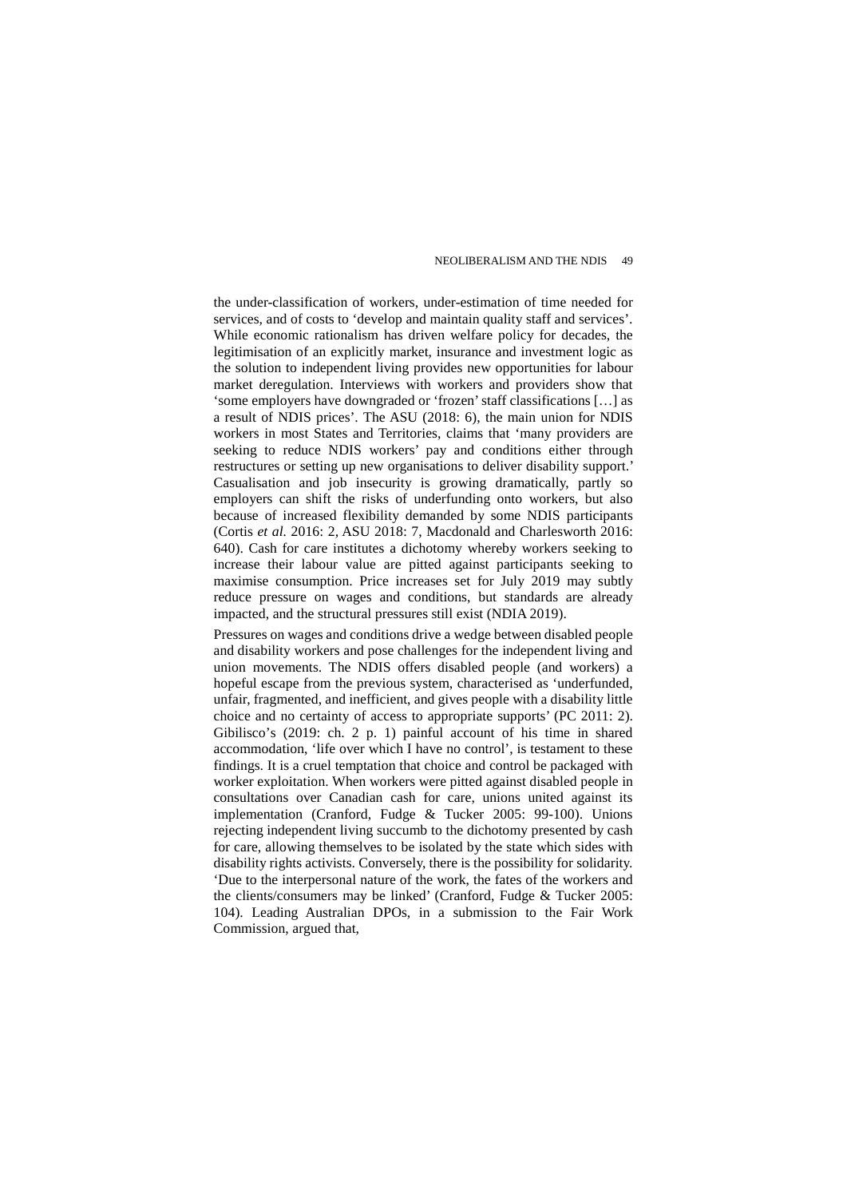the under-classification of workers, under-estimation of time needed for services, and of costs to 'develop and maintain quality staff and services'. While economic rationalism has driven welfare policy for decades, the legitimisation of an explicitly market, insurance and investment logic as the solution to independent living provides new opportunities for labour market deregulation. Interviews with workers and providers show that 'some employers have downgraded or 'frozen' staff classifications […] as a result of NDIS prices'. The ASU (2018: 6), the main union for NDIS workers in most States and Territories, claims that 'many providers are seeking to reduce NDIS workers' pay and conditions either through restructures or setting up new organisations to deliver disability support.' Casualisation and job insecurity is growing dramatically, partly so employers can shift the risks of underfunding onto workers, but also because of increased flexibility demanded by some NDIS participants (Cortis *et al.* 2016: 2, ASU 2018: 7, Macdonald and Charlesworth 2016: 640). Cash for care institutes a dichotomy whereby workers seeking to increase their labour value are pitted against participants seeking to maximise consumption. Price increases set for July 2019 may subtly reduce pressure on wages and conditions, but standards are already impacted, and the structural pressures still exist (NDIA 2019).

Pressures on wages and conditions drive a wedge between disabled people and disability workers and pose challenges for the independent living and union movements. The NDIS offers disabled people (and workers) a hopeful escape from the previous system, characterised as 'underfunded, unfair, fragmented, and inefficient, and gives people with a disability little choice and no certainty of access to appropriate supports' (PC 2011: 2). Gibilisco's (2019: ch. 2 p. 1) painful account of his time in shared accommodation, 'life over which I have no control', is testament to these findings. It is a cruel temptation that choice and control be packaged with worker exploitation. When workers were pitted against disabled people in consultations over Canadian cash for care, unions united against its implementation (Cranford, Fudge & Tucker 2005: 99-100). Unions rejecting independent living succumb to the dichotomy presented by cash for care, allowing themselves to be isolated by the state which sides with disability rights activists. Conversely, there is the possibility for solidarity. 'Due to the interpersonal nature of the work, the fates of the workers and the clients/consumers may be linked' (Cranford, Fudge & Tucker 2005: 104). Leading Australian DPOs, in a submission to the Fair Work Commission, argued that,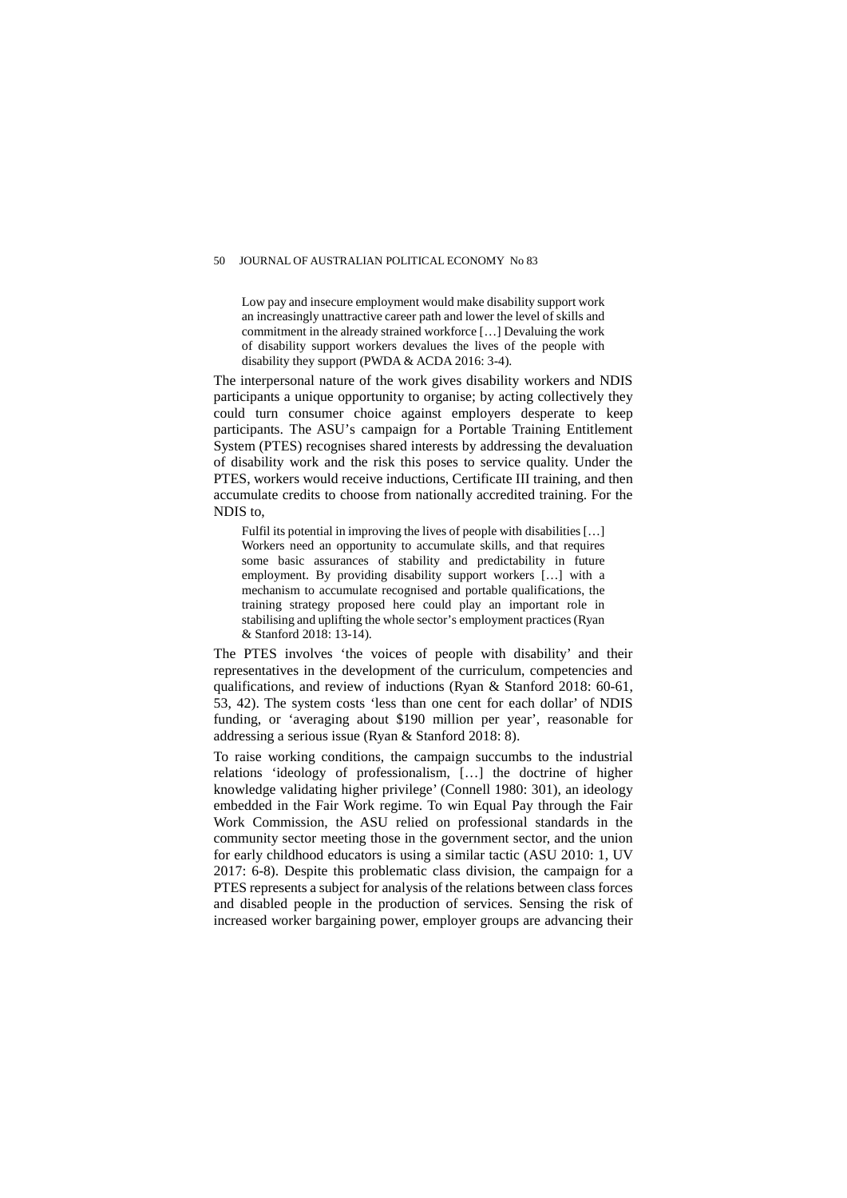Low pay and insecure employment would make disability support work an increasingly unattractive career path and lower the level of skills and commitment in the already strained workforce […] Devaluing the work of disability support workers devalues the lives of the people with disability they support (PWDA & ACDA 2016: 3-4).

The interpersonal nature of the work gives disability workers and NDIS participants a unique opportunity to organise; by acting collectively they could turn consumer choice against employers desperate to keep participants. The ASU's campaign for a Portable Training Entitlement System (PTES) recognises shared interests by addressing the devaluation of disability work and the risk this poses to service quality. Under the PTES, workers would receive inductions, Certificate III training, and then accumulate credits to choose from nationally accredited training. For the NDIS to,

Fulfil its potential in improving the lives of people with disabilities […] Workers need an opportunity to accumulate skills, and that requires some basic assurances of stability and predictability in future employment. By providing disability support workers […] with a mechanism to accumulate recognised and portable qualifications, the training strategy proposed here could play an important role in stabilising and uplifting the whole sector's employment practices (Ryan & Stanford 2018: 13-14).

The PTES involves 'the voices of people with disability' and their representatives in the development of the curriculum, competencies and qualifications, and review of inductions (Ryan & Stanford 2018: 60-61, 53, 42). The system costs 'less than one cent for each dollar' of NDIS funding, or 'averaging about \$190 million per year', reasonable for addressing a serious issue (Ryan & Stanford 2018: 8).

To raise working conditions, the campaign succumbs to the industrial relations 'ideology of professionalism, […] the doctrine of higher knowledge validating higher privilege' (Connell 1980: 301), an ideology embedded in the Fair Work regime. To win Equal Pay through the Fair Work Commission, the ASU relied on professional standards in the community sector meeting those in the government sector, and the union for early childhood educators is using a similar tactic (ASU 2010: 1, UV 2017: 6-8). Despite this problematic class division, the campaign for a PTES represents a subject for analysis of the relations between class forces and disabled people in the production of services. Sensing the risk of increased worker bargaining power, employer groups are advancing their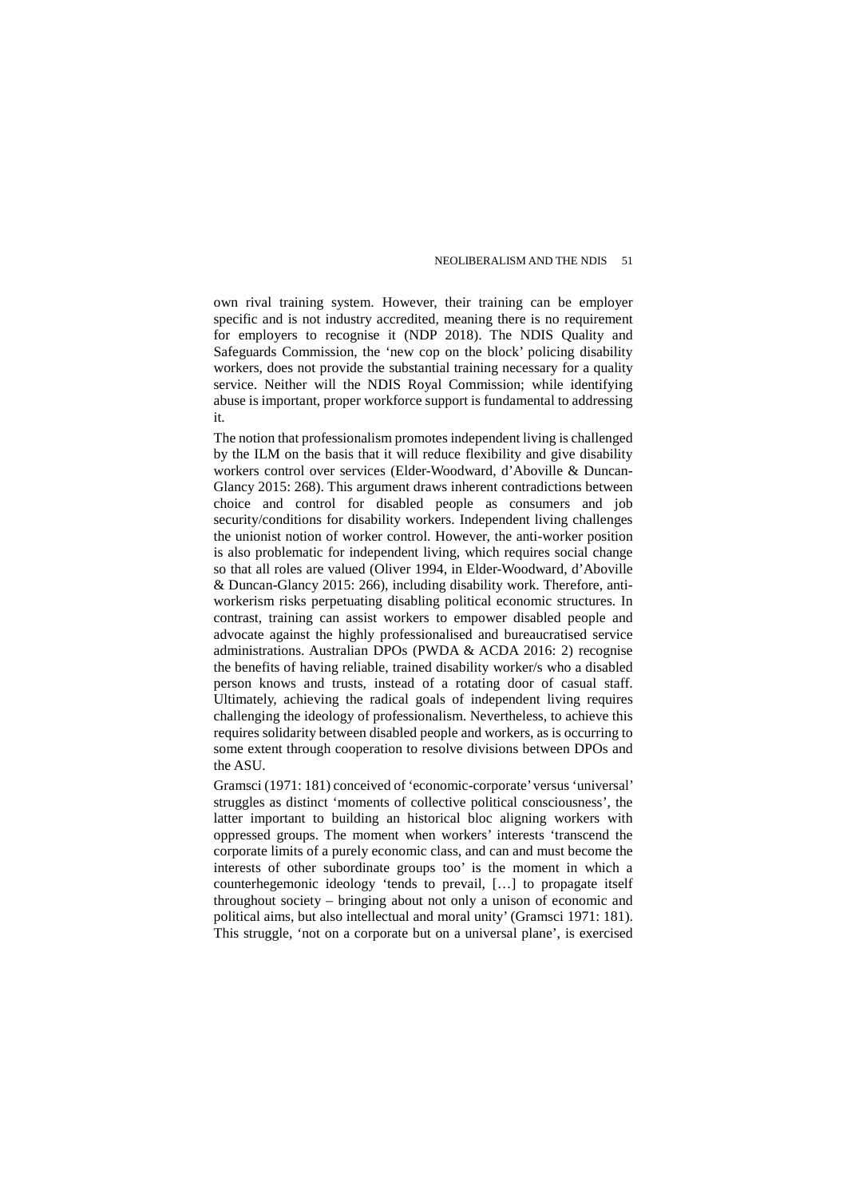own rival training system. However, their training can be employer specific and is not industry accredited, meaning there is no requirement for employers to recognise it (NDP 2018). The NDIS Quality and Safeguards Commission, the 'new cop on the block' policing disability workers, does not provide the substantial training necessary for a quality service. Neither will the NDIS Royal Commission; while identifying abuse is important, proper workforce support is fundamental to addressing it.

The notion that professionalism promotes independent living is challenged by the ILM on the basis that it will reduce flexibility and give disability workers control over services (Elder-Woodward, d'Aboville & Duncan-Glancy 2015: 268). This argument draws inherent contradictions between choice and control for disabled people as consumers and job security/conditions for disability workers. Independent living challenges the unionist notion of worker control. However, the anti-worker position is also problematic for independent living, which requires social change so that all roles are valued (Oliver 1994, in Elder-Woodward, d'Aboville & Duncan-Glancy 2015: 266), including disability work. Therefore, antiworkerism risks perpetuating disabling political economic structures. In contrast, training can assist workers to empower disabled people and advocate against the highly professionalised and bureaucratised service administrations. Australian DPOs (PWDA & ACDA 2016: 2) recognise the benefits of having reliable, trained disability worker/s who a disabled person knows and trusts, instead of a rotating door of casual staff. Ultimately, achieving the radical goals of independent living requires challenging the ideology of professionalism. Nevertheless, to achieve this requires solidarity between disabled people and workers, as is occurring to some extent through cooperation to resolve divisions between DPOs and the ASU.

Gramsci (1971: 181) conceived of 'economic-corporate' versus 'universal' struggles as distinct 'moments of collective political consciousness', the latter important to building an historical bloc aligning workers with oppressed groups. The moment when workers' interests 'transcend the corporate limits of a purely economic class, and can and must become the interests of other subordinate groups too' is the moment in which a counterhegemonic ideology 'tends to prevail, […] to propagate itself throughout society – bringing about not only a unison of economic and political aims, but also intellectual and moral unity' (Gramsci 1971: 181). This struggle, 'not on a corporate but on a universal plane', is exercised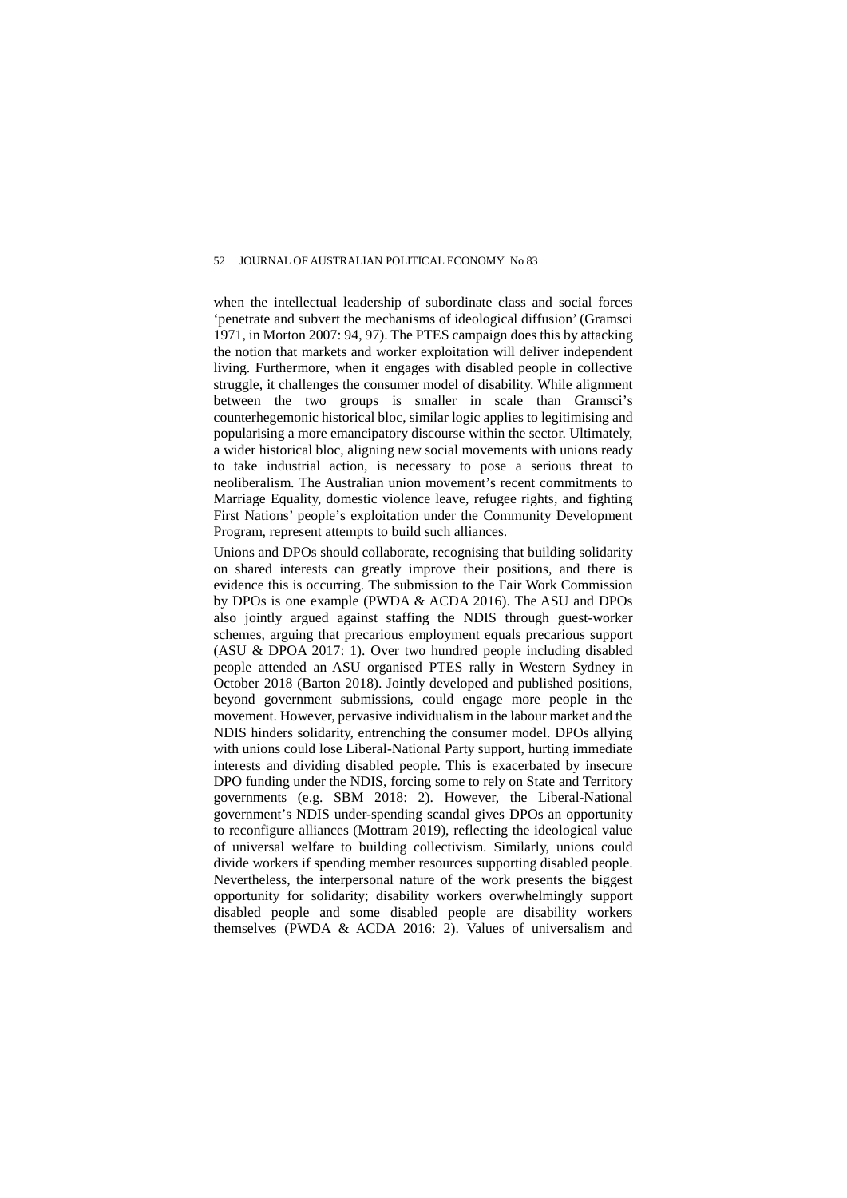when the intellectual leadership of subordinate class and social forces 'penetrate and subvert the mechanisms of ideological diffusion' (Gramsci 1971, in Morton 2007: 94, 97). The PTES campaign does this by attacking the notion that markets and worker exploitation will deliver independent living. Furthermore, when it engages with disabled people in collective struggle, it challenges the consumer model of disability. While alignment between the two groups is smaller in scale than Gramsci's counterhegemonic historical bloc, similar logic applies to legitimising and popularising a more emancipatory discourse within the sector. Ultimately, a wider historical bloc, aligning new social movements with unions ready to take industrial action, is necessary to pose a serious threat to neoliberalism. The Australian union movement's recent commitments to Marriage Equality, domestic violence leave, refugee rights, and fighting First Nations' people's exploitation under the Community Development Program, represent attempts to build such alliances.

Unions and DPOs should collaborate, recognising that building solidarity on shared interests can greatly improve their positions, and there is evidence this is occurring. The submission to the Fair Work Commission by DPOs is one example (PWDA & ACDA 2016). The ASU and DPOs also jointly argued against staffing the NDIS through guest-worker schemes, arguing that precarious employment equals precarious support (ASU & DPOA 2017: 1). Over two hundred people including disabled people attended an ASU organised PTES rally in Western Sydney in October 2018 (Barton 2018). Jointly developed and published positions, beyond government submissions, could engage more people in the movement. However, pervasive individualism in the labour market and the NDIS hinders solidarity, entrenching the consumer model. DPOs allying with unions could lose Liberal-National Party support, hurting immediate interests and dividing disabled people. This is exacerbated by insecure DPO funding under the NDIS, forcing some to rely on State and Territory governments (e.g. SBM 2018: 2). However, the Liberal-National government's NDIS under-spending scandal gives DPOs an opportunity to reconfigure alliances (Mottram 2019), reflecting the ideological value of universal welfare to building collectivism. Similarly, unions could divide workers if spending member resources supporting disabled people. Nevertheless, the interpersonal nature of the work presents the biggest opportunity for solidarity; disability workers overwhelmingly support disabled people and some disabled people are disability workers themselves (PWDA & ACDA 2016: 2). Values of universalism and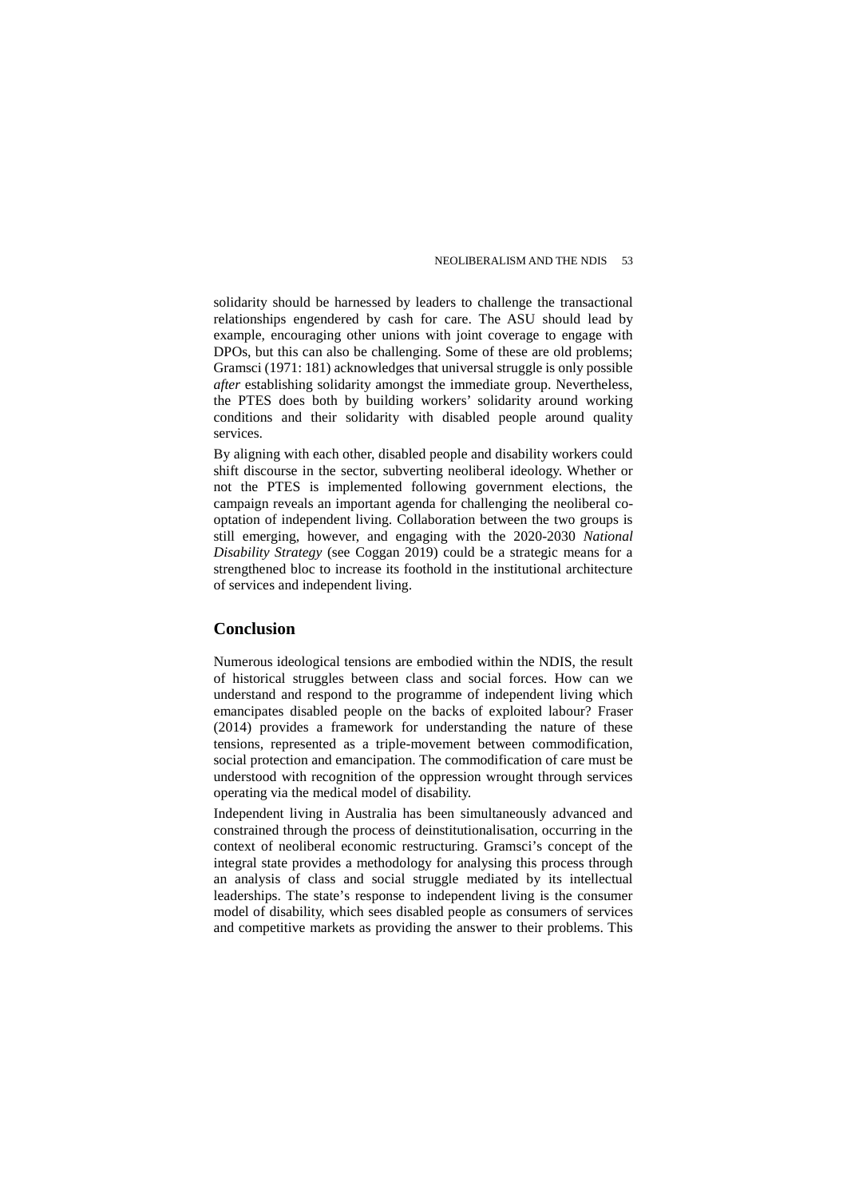solidarity should be harnessed by leaders to challenge the transactional relationships engendered by cash for care. The ASU should lead by example, encouraging other unions with joint coverage to engage with DPOs, but this can also be challenging. Some of these are old problems; Gramsci (1971: 181) acknowledges that universal struggle is only possible *after* establishing solidarity amongst the immediate group. Nevertheless, the PTES does both by building workers' solidarity around working conditions and their solidarity with disabled people around quality services.

By aligning with each other, disabled people and disability workers could shift discourse in the sector, subverting neoliberal ideology. Whether or not the PTES is implemented following government elections, the campaign reveals an important agenda for challenging the neoliberal cooptation of independent living. Collaboration between the two groups is still emerging, however, and engaging with the 2020-2030 *National Disability Strategy* (see Coggan 2019) could be a strategic means for a strengthened bloc to increase its foothold in the institutional architecture of services and independent living.

## **Conclusion**

Numerous ideological tensions are embodied within the NDIS, the result of historical struggles between class and social forces. How can we understand and respond to the programme of independent living which emancipates disabled people on the backs of exploited labour? Fraser (2014) provides a framework for understanding the nature of these tensions, represented as a triple-movement between commodification, social protection and emancipation. The commodification of care must be understood with recognition of the oppression wrought through services operating via the medical model of disability.

Independent living in Australia has been simultaneously advanced and constrained through the process of deinstitutionalisation, occurring in the context of neoliberal economic restructuring. Gramsci's concept of the integral state provides a methodology for analysing this process through an analysis of class and social struggle mediated by its intellectual leaderships. The state's response to independent living is the consumer model of disability, which sees disabled people as consumers of services and competitive markets as providing the answer to their problems. This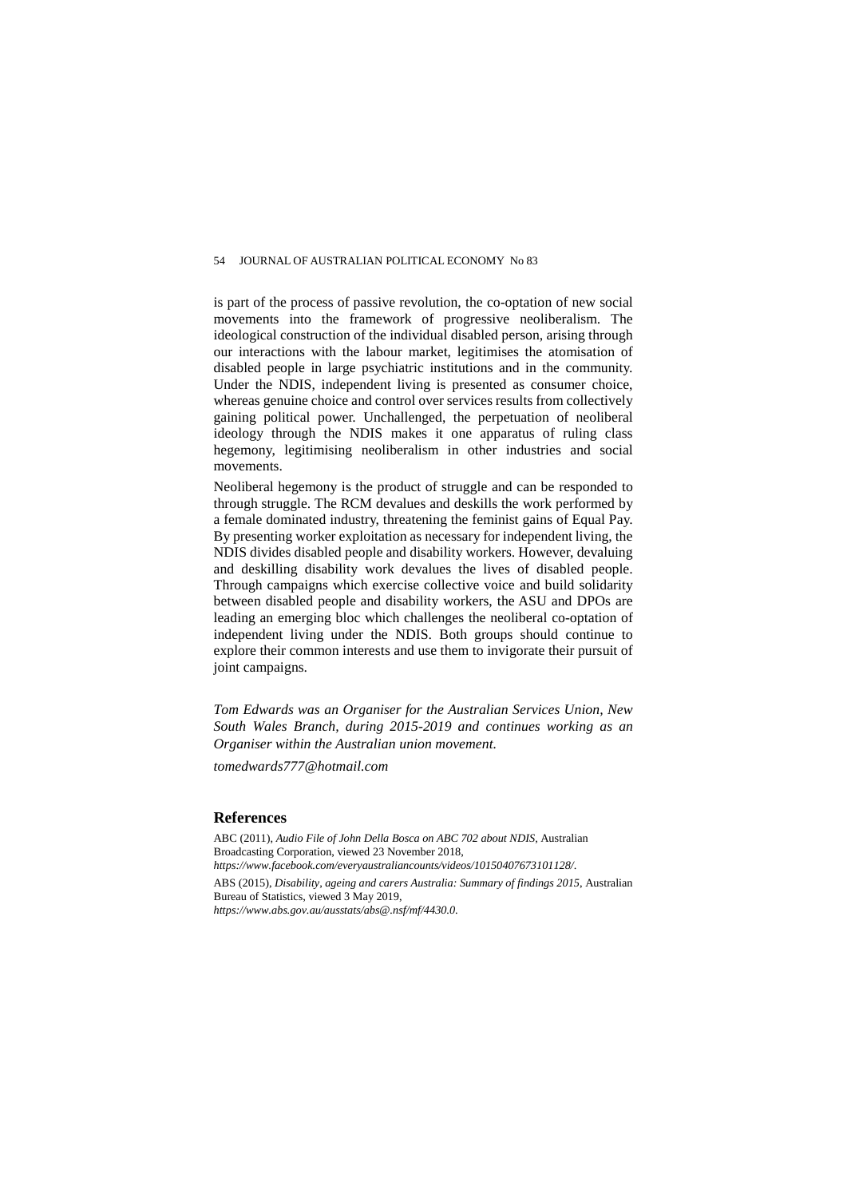is part of the process of passive revolution, the co-optation of new social movements into the framework of progressive neoliberalism. The ideological construction of the individual disabled person, arising through our interactions with the labour market, legitimises the atomisation of disabled people in large psychiatric institutions and in the community. Under the NDIS, independent living is presented as consumer choice, whereas genuine choice and control over services results from collectively gaining political power. Unchallenged, the perpetuation of neoliberal ideology through the NDIS makes it one apparatus of ruling class hegemony, legitimising neoliberalism in other industries and social movements.

Neoliberal hegemony is the product of struggle and can be responded to through struggle. The RCM devalues and deskills the work performed by a female dominated industry, threatening the feminist gains of Equal Pay. By presenting worker exploitation as necessary for independent living, the NDIS divides disabled people and disability workers. However, devaluing and deskilling disability work devalues the lives of disabled people. Through campaigns which exercise collective voice and build solidarity between disabled people and disability workers, the ASU and DPOs are leading an emerging bloc which challenges the neoliberal co-optation of independent living under the NDIS. Both groups should continue to explore their common interests and use them to invigorate their pursuit of joint campaigns.

*Tom Edwards was an Organiser for the Australian Services Union, New South Wales Branch, during 2015-2019 and continues working as an Organiser within the Australian union movement.*

*tomedwards777@hotmail.com*

#### **References**

ABC (2011), *Audio File of John Della Bosca on ABC 702 about NDIS*, Australian Broadcasting Corporation, viewed 23 November 2018, *<https://www.facebook.com/everyaustraliancounts/videos/10150407673101128/>*. ABS (2015), *Disability, ageing and carers Australia: Summary of findings 2015*, Australian Bureau of Statistics, viewed 3 May 2019, *<https://www.abs.gov.au/ausstats/abs@.nsf/mf/4430.0>*.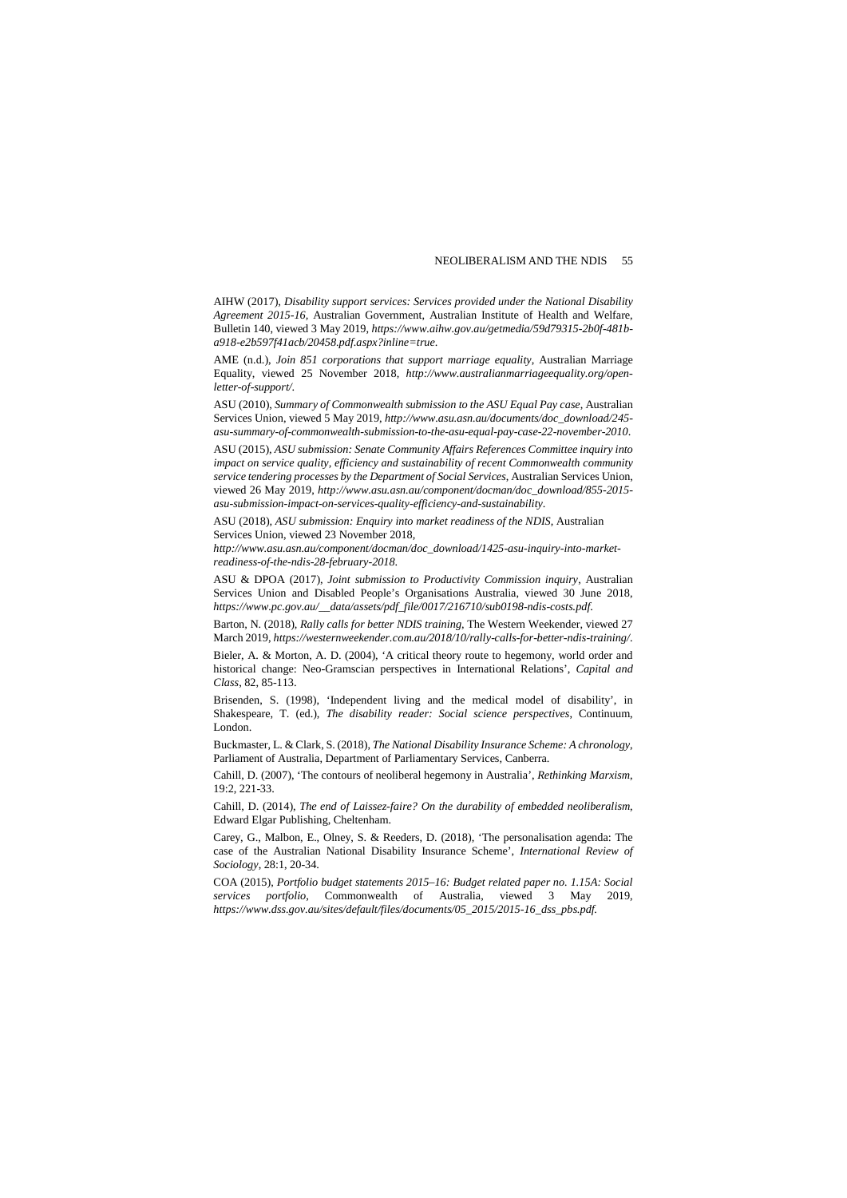AIHW (2017), *Disability support services: Services provided under the National Disability Agreement 2015-16,* Australian Government, Australian Institute of Health and Welfare, Bulletin 140, viewed 3 May 2019, *[https://www.aihw.gov.au/getmedia/59d79315-2b0f-481b](https://www.aihw.gov.au/getmedia/59d79315-2b0f-481b-a918-e2b597f41acb/20458.pdf.aspx?inline=true)[a918-e2b597f41acb/20458.pdf.aspx?inline=true](https://www.aihw.gov.au/getmedia/59d79315-2b0f-481b-a918-e2b597f41acb/20458.pdf.aspx?inline=true)*.

AME (n.d.), *Join 851 corporations that support marriage equality*, Australian Marriage Equality, viewed 25 November 2018, *[http://www.australianmarriageequality.org/open](http://www.australianmarriageequality.org/open-letter-of-support/)[letter-of-support/](http://www.australianmarriageequality.org/open-letter-of-support/)*.

ASU (2010), *Summary of Commonwealth submission to the ASU Equal Pay case*, Australian Services Union, viewed 5 May 2019, *[http://www.asu.asn.au/documents/doc\\_download/245](http://www.asu.asn.au/documents/doc_download/245-asu-summary-of-commonwealth-submission-to-the-asu-equal-pay-case-22-november-2010) [asu-summary-of-commonwealth-submission-to-the-asu-equal-pay-case-22-november-2010](http://www.asu.asn.au/documents/doc_download/245-asu-summary-of-commonwealth-submission-to-the-asu-equal-pay-case-22-november-2010)*.

ASU (2015), *ASU submission: Senate Community Affairs References Committee inquiry into impact on service quality, efficiency and sustainability of recent Commonwealth community service tendering processes by the Department of Social Services*, Australian Services Union, viewed 26 May 2019, *[http://www.asu.asn.au/component/docman/doc\\_download/855-2015](http://www.asu.asn.au/component/docman/doc_download/855-2015-asu-submission-impact-on-services-quality-efficiency-and-sustainability) [asu-submission-impact-on-services-quality-efficiency-and-sustainability](http://www.asu.asn.au/component/docman/doc_download/855-2015-asu-submission-impact-on-services-quality-efficiency-and-sustainability)*.

ASU (2018), *ASU submission: Enquiry into market readiness of the NDIS*, Australian Services Union, viewed 23 November 2018,

*[http://www.asu.asn.au/component/docman/doc\\_download/1425-asu-inquiry-into-market](http://www.asu.asn.au/component/docman/doc_download/1425-asu-inquiry-into-market-readiness-of-the-ndis-28-february-2018)[readiness-of-the-ndis-28-february-2018](http://www.asu.asn.au/component/docman/doc_download/1425-asu-inquiry-into-market-readiness-of-the-ndis-28-february-2018)*.

ASU & DPOA (2017), *Joint submission to Productivity Commission inquiry*, Australian Services Union and Disabled People's Organisations Australia, viewed 30 June 2018, *[https://www.pc.gov.au/\\_\\_data/assets/pdf\\_file/0017/216710/sub0198-ndis-costs.pdf](https://www.pc.gov.au/__data/assets/pdf_file/0017/216710/sub0198-ndis-costs.pdf)*.

Barton, N. (2018), *Rally calls for better NDIS training*, The Western Weekender, viewed 27 March 2019, *<https://westernweekender.com.au/2018/10/rally-calls-for-better-ndis-training/>*.

Bieler, A. & Morton, A. D. (2004), 'A critical theory route to hegemony, world order and historical change: Neo-Gramscian perspectives in International Relations', *Capital and Class*, 82, 85-113.

Brisenden, S. (1998), 'Independent living and the medical model of disability', in Shakespeare, T. (ed.), *The disability reader: Social science perspectives*, Continuum, London.

Buckmaster, L. & Clark, S. (2018), *The National Disability Insurance Scheme: A chronology*, Parliament of Australia, Department of Parliamentary Services, Canberra.

Cahill, D. (2007), 'The contours of neoliberal hegemony in Australia', *Rethinking Marxism*, 19:2, 221-33.

Cahill, D. (2014), *The end of Laissez-faire? On the durability of embedded neoliberalism*, Edward Elgar Publishing, Cheltenham.

Carey, G., Malbon, E., Olney, S. & Reeders, D. (2018), 'The personalisation agenda: The case of the Australian National Disability Insurance Scheme', *International Review of Sociology*, 28:1, 20-34.

COA (2015), *Portfolio budget statements 2015–16: Budget related paper no. 1.15A: Social services portfolio*, Commonwealth of Australia, viewed 3 May 2019, *[https://www.dss.gov.au/sites/default/files/documents/05\\_2015/2015-16\\_dss\\_pbs.pdf.](https://www.dss.gov.au/sites/default/files/documents/05_2015/2015-16_dss_pbs.pdf)*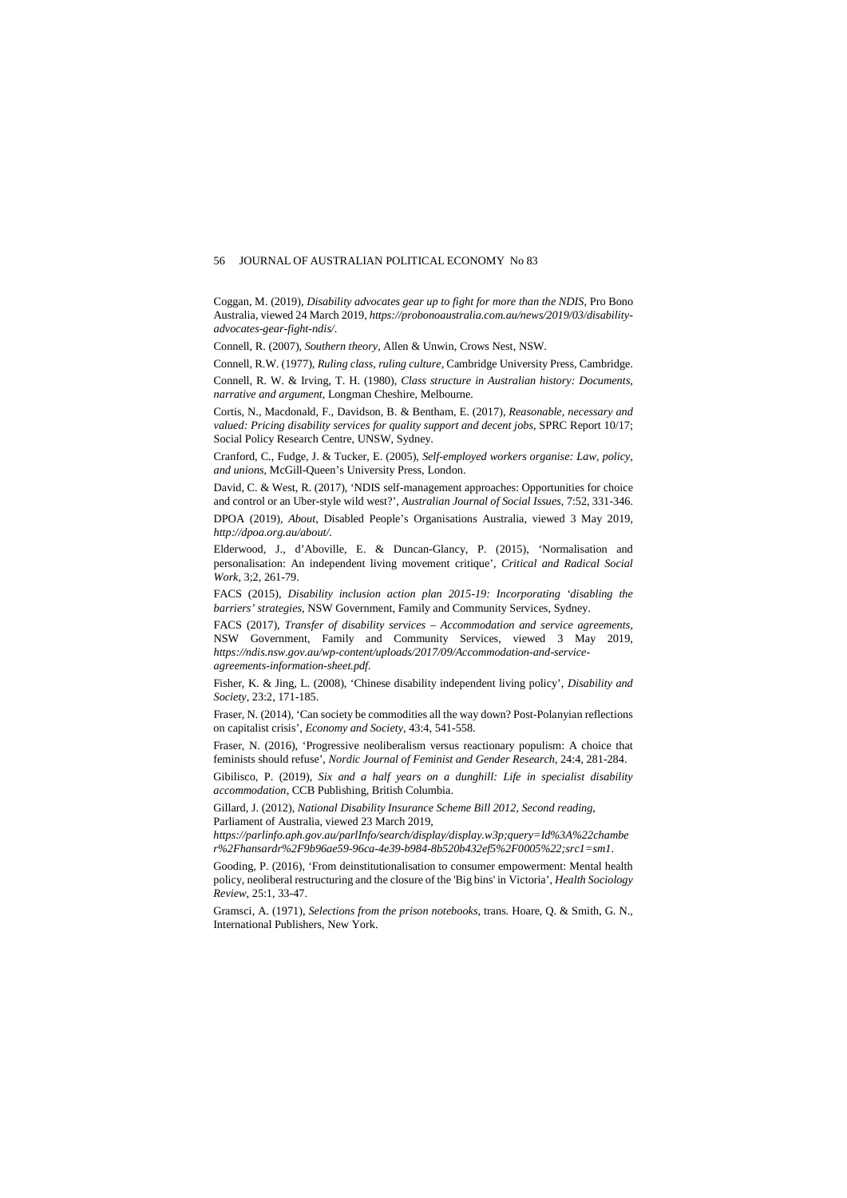Coggan, M. (2019), *Disability advocates gear up to fight for more than the NDIS*, Pro Bono Australia, viewed 24 March 2019, *[https://probonoaustralia.com.au/news/2019/03/disability](https://probonoaustralia.com.au/news/2019/03/disability-advocates-gear-fight-ndis/)[advocates-gear-fight-ndis/](https://probonoaustralia.com.au/news/2019/03/disability-advocates-gear-fight-ndis/)*.

Connell, R. (2007), *Southern theory*, Allen & Unwin, Crows Nest, NSW.

Connell, R.W. (1977), *Ruling class, ruling culture*, Cambridge University Press, Cambridge.

Connell, R. W. & Irving, T. H. (1980), *Class structure in Australian history: Documents, narrative and argument*, Longman Cheshire, Melbourne.

Cortis, N., Macdonald, F., Davidson, B. & Bentham, E. (2017), *Reasonable, necessary and valued: Pricing disability services for quality support and decent jobs*, SPRC Report 10/17; Social Policy Research Centre, UNSW, Sydney.

Cranford, C., Fudge, J. & Tucker, E. (2005), *Self-employed workers organise: Law, policy, and unions*, McGill-Queen's University Press, London.

David, C. & West, R. (2017), 'NDIS self-management approaches: Opportunities for choice and control or an Uber-style wild west?', *Australian Journal of Social Issues,* 7:52, 331-346.

DPOA (2019), *About*, Disabled People's Organisations Australia, viewed 3 May 2019, *<http://dpoa.org.au/about/>*.

Elderwood, J., d'Aboville, E. & Duncan-Glancy, P. (2015), 'Normalisation and personalisation: An independent living movement critique', *Critical and Radical Social Work*, 3;2, 261-79.

FACS (2015), *Disability inclusion action plan 2015-19: Incorporating 'disabling the barriers' strategies*, NSW Government, Family and Community Services, Sydney.

FACS (2017), *Transfer of disability services – Accommodation and service agreements*, NSW Government, Family and Community Services, viewed 3 May 2019, *[https://ndis.nsw.gov.au/wp-content/uploads/2017/09/Accommodation-and-service](https://ndis.nsw.gov.au/wp-content/uploads/2017/09/Accommodation-and-service-agreements-information-sheet.pdf)[agreements-information-sheet.pdf](https://ndis.nsw.gov.au/wp-content/uploads/2017/09/Accommodation-and-service-agreements-information-sheet.pdf)*.

Fisher, K. & Jing, L. (2008), 'Chinese disability independent living policy', *Disability and Society*, 23:2, 171-185.

Fraser, N. (2014), 'Can society be commodities all the way down? Post-Polanyian reflections on capitalist crisis', *Economy and Society*, 43:4, 541-558.

Fraser, N. (2016), 'Progressive neoliberalism versus reactionary populism: A choice that feminists should refuse', *Nordic Journal of Feminist and Gender Research*, 24:4, 281-284.

Gibilisco, P. (2019), *Six and a half years on a dunghill: Life in specialist disability accommodation*, CCB Publishing, British Columbia.

Gillard, J. (2012), *National Disability Insurance Scheme Bill 2012, Second reading*, Parliament of Australia, viewed 23 March 2019,

*[https://parlinfo.aph.gov.au/parlInfo/search/display/display.w3p;query=Id%3A%22chambe](https://parlinfo.aph.gov.au/parlInfo/search/display/display.w3p;query=Id%3A%22chamber%2Fhansardr%2F9b96ae59-96ca-4e39-b984-8b520b432ef5%2F0005%22;src1=sm1) [r%2Fhansardr%2F9b96ae59-96ca-4e39-b984-8b520b432ef5%2F0005%22;src1=sm1](https://parlinfo.aph.gov.au/parlInfo/search/display/display.w3p;query=Id%3A%22chamber%2Fhansardr%2F9b96ae59-96ca-4e39-b984-8b520b432ef5%2F0005%22;src1=sm1)*.

Gooding, P. (2016), 'From deinstitutionalisation to consumer empowerment: Mental health policy, neoliberal restructuring and the closure of the 'Big bins' in Victoria', *Health Sociology Review*, 25:1, 33-47.

Gramsci, A. (1971), *Selections from the prison notebooks*, trans. Hoare, Q. & Smith, G. N., International Publishers, New York.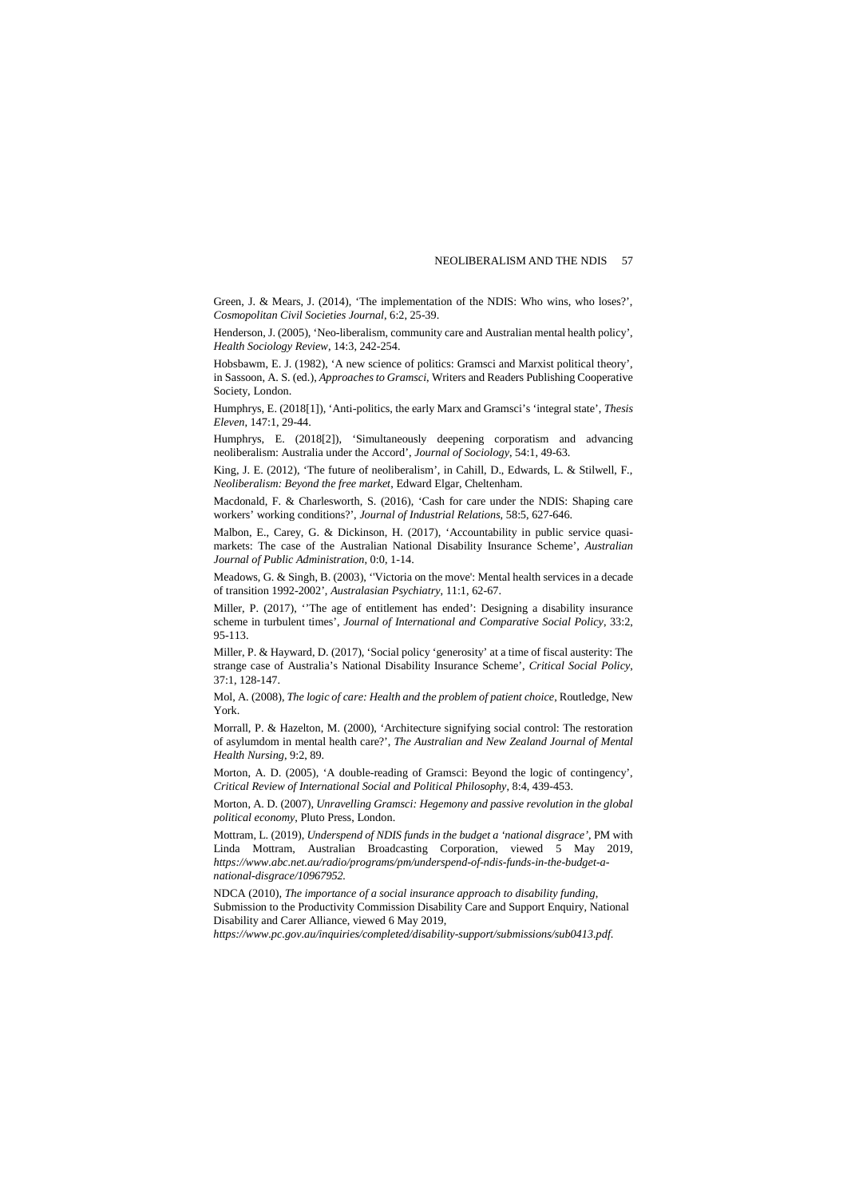Green, J. & Mears, J. (2014), 'The implementation of the NDIS: Who wins, who loses?', *Cosmopolitan Civil Societies Journal*, 6:2, 25-39.

Henderson, J. (2005), 'Neo-liberalism, community care and Australian mental health policy', *Health Sociology Review*, 14:3, 242-254.

Hobsbawm, E. J. (1982), 'A new science of politics: Gramsci and Marxist political theory', in Sassoon, A. S. (ed.), *Approaches to Gramsci*, Writers and Readers Publishing Cooperative Society, London.

Humphrys, E. (2018[1]), 'Anti-politics, the early Marx and Gramsci's 'integral state', *Thesis Eleven*, 147:1, 29-44.

Humphrys, E. (2018[2]), 'Simultaneously deepening corporatism and advancing neoliberalism: Australia under the Accord', *Journal of Sociology*, 54:1, 49-63.

King, J. E. (2012), 'The future of neoliberalism', in Cahill, D., Edwards, L. & Stilwell, F., *Neoliberalism: Beyond the free market*, Edward Elgar, Cheltenham.

Macdonald, F. & Charlesworth, S. (2016), 'Cash for care under the NDIS: Shaping care workers' working conditions?', *Journal of Industrial Relations*, 58:5, 627-646.

Malbon, E., Carey, G. & Dickinson, H. (2017), 'Accountability in public service quasimarkets: The case of the Australian National Disability Insurance Scheme', *Australian Journal of Public Administration*, 0:0, 1-14.

Meadows, G. & Singh, B. (2003), ''Victoria on the move': Mental health services in a decade of transition 1992-2002', *Australasian Psychiatry*, 11:1, 62-67.

Miller, P. (2017), ''The age of entitlement has ended': Designing a disability insurance scheme in turbulent times', *Journal of International and Comparative Social Policy*, 33:2, 95-113.

Miller, P. & Hayward, D. (2017), 'Social policy 'generosity' at a time of fiscal austerity: The strange case of Australia's National Disability Insurance Scheme', *Critical Social Policy*, 37:1, 128-147.

Mol, A. (2008), *The logic of care: Health and the problem of patient choice*, Routledge, New York.

Morrall, P. & Hazelton, M. (2000), 'Architecture signifying social control: The restoration of asylumdom in mental health care?', *The Australian and New Zealand Journal of Mental Health Nursing*, 9:2, 89.

Morton, A. D. (2005), 'A double-reading of Gramsci: Beyond the logic of contingency', *Critical Review of International Social and Political Philosophy*, 8:4, 439-453.

Morton, A. D. (2007), *Unravelling Gramsci: Hegemony and passive revolution in the global political economy*, Pluto Press, London.

Mottram, L. (2019), *Underspend of NDIS funds in the budget a 'national disgrace'*, PM with Linda Mottram, Australian Broadcasting Corporation, viewed 5 May 2019, *[https://www.abc.net.au/radio/programs/pm/underspend-of-ndis-funds-in-the-budget-a](https://www.abc.net.au/radio/programs/pm/underspend-of-ndis-funds-in-the-budget-a-national-disgrace/10967952)[national-disgrace/10967952.](https://www.abc.net.au/radio/programs/pm/underspend-of-ndis-funds-in-the-budget-a-national-disgrace/10967952)*

NDCA (2010), *The importance of a social insurance approach to disability funding*, Submission to the Productivity Commission Disability Care and Support Enquiry, National Disability and Carer Alliance, viewed 6 May 2019,

*<https://www.pc.gov.au/inquiries/completed/disability-support/submissions/sub0413.pdf>*.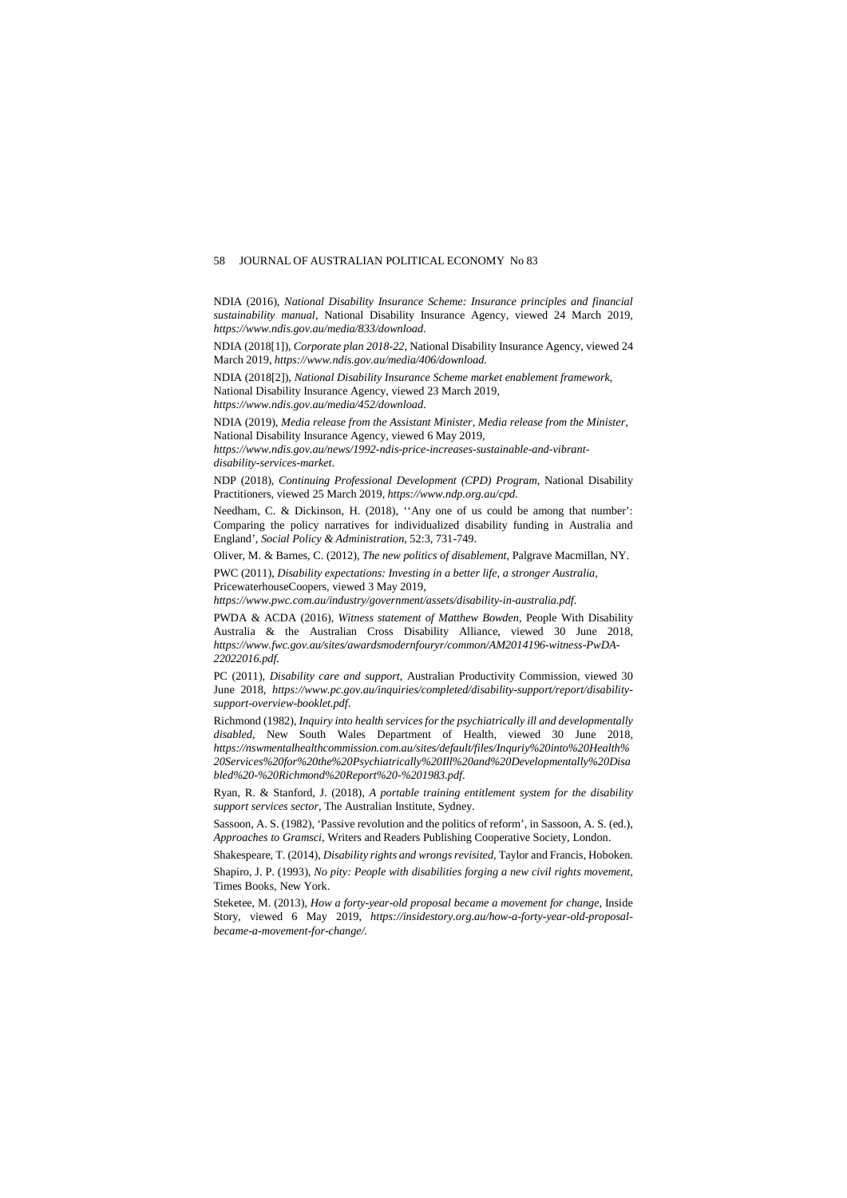NDIA (2016), *National Disability Insurance Scheme: Insurance principles and financial sustainability manual*, National Disability Insurance Agency, viewed 24 March 2019, *<https://www.ndis.gov.au/media/833/download>*.

NDIA (2018[1]), *Corporate plan 2018-22*, National Disability Insurance Agency, viewed 24 March 2019, *<https://www.ndis.gov.au/media/406/download>*.

NDIA (2018[2]), *National Disability Insurance Scheme market enablement framework*, National Disability Insurance Agency, viewed 23 March 2019,

*<https://www.ndis.gov.au/media/452/download>*.

NDIA (2019), *Media release from the Assistant Minister, Media release from the Minister*, National Disability Insurance Agency, viewed 6 May 2019,

*[https://www.ndis.gov.au/news/1992-ndis-price-increases-sustainable-and-vibrant](https://www.ndis.gov.au/news/1992-ndis-price-increases-sustainable-and-vibrant-disability-services-market)[disability-services-market](https://www.ndis.gov.au/news/1992-ndis-price-increases-sustainable-and-vibrant-disability-services-market)*.

NDP (2018), *Continuing Professional Development (CPD) Program*, National Disability Practitioners, viewed 25 March 2019, *<https://www.ndp.org.au/cpd>*.

Needham, C. & Dickinson, H. (2018), ''Any one of us could be among that number': Comparing the policy narratives for individualized disability funding in Australia and England', *Social Policy & Administration*, 52:3, 731-749.

Oliver, M. & Barnes, C. (2012), *The new politics of disablement*, Palgrave Macmillan, NY.

PWC (2011), *Disability expectations: Investing in a better life, a stronger Australia,*  PricewaterhouseCoopers, viewed 3 May 2019,

*<https://www.pwc.com.au/industry/government/assets/disability-in-australia.pdf>*.

PWDA & ACDA (2016), *Witness statement of Matthew Bowden*, People With Disability Australia & the Australian Cross Disability Alliance, viewed 30 June 2018, *[https://www.fwc.gov.au/sites/awardsmodernfouryr/common/AM2014196-witness-PwDA-](https://www.fwc.gov.au/sites/awardsmodernfouryr/common/AM2014196-witness-PwDA-22022016.pdf)[22022016.pdf](https://www.fwc.gov.au/sites/awardsmodernfouryr/common/AM2014196-witness-PwDA-22022016.pdf)*.

PC (2011), *Disability care and support*, Australian Productivity Commission, viewed 30 June 2018, *[https://www.pc.gov.au/inquiries/completed/disability-support/report/disability](https://www.pc.gov.au/inquiries/completed/disability-support/report/disability-support-overview-booklet.pdf)[support-overview-booklet.pdf](https://www.pc.gov.au/inquiries/completed/disability-support/report/disability-support-overview-booklet.pdf)*.

Richmond (1982), *Inquiry into health services for the psychiatrically ill and developmentally disabled*, New South Wales Department of Health, viewed 30 June 2018, *[https://nswmentalhealthcommission.com.au/sites/default/files/Inquriy%20into%20Health%](https://nswmentalhealthcommission.com.au/sites/default/files/Inquriy%20into%20Health%20Services%20for%20the%20Psychiatrically%20Ill%20and%20Developmentally%20Disabled%20-%20Richmond%20Report%20-%201983.pdf) [20Services%20for%20the%20Psychiatrically%20Ill%20and%20Developmentally%20Disa](https://nswmentalhealthcommission.com.au/sites/default/files/Inquriy%20into%20Health%20Services%20for%20the%20Psychiatrically%20Ill%20and%20Developmentally%20Disabled%20-%20Richmond%20Report%20-%201983.pdf) [bled%20-%20Richmond%20Report%20-%201983.pdf](https://nswmentalhealthcommission.com.au/sites/default/files/Inquriy%20into%20Health%20Services%20for%20the%20Psychiatrically%20Ill%20and%20Developmentally%20Disabled%20-%20Richmond%20Report%20-%201983.pdf)*.

Ryan, R. & Stanford, J. (2018), *A portable training entitlement system for the disability support services sector*, The Australian Institute, Sydney.

Sassoon, A. S. (1982), 'Passive revolution and the politics of reform', in Sassoon, A. S. (ed.), *Approaches to Gramsci*, Writers and Readers Publishing Cooperative Society, London.

Shakespeare, T. (2014), *Disability rights and wrongs revisited*, Taylor and Francis, Hoboken. Shapiro, J. P. (1993), *No pity: People with disabilities forging a new civil rights movement*,

Times Books, New York. Steketee, M. (2013), *How a forty-year-old proposal became a movement for change*, Inside

Story, viewed 6 May 2019, *[https://insidestory.org.au/how-a-forty-year-old-proposal](https://insidestory.org.au/how-a-forty-year-old-proposal-became-a-movement-for-change/)[became-a-movement-for-change/.](https://insidestory.org.au/how-a-forty-year-old-proposal-became-a-movement-for-change/)*